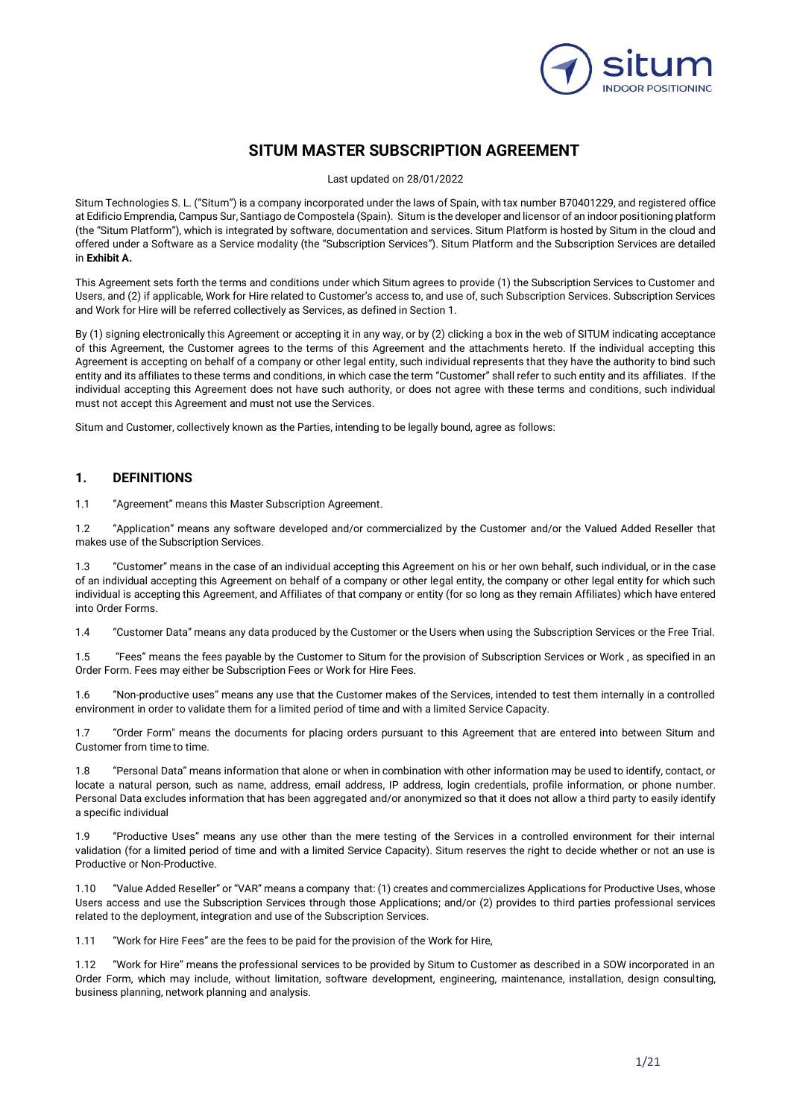

# **SITUM MASTER SUBSCRIPTION AGREEMENT**

Last updated on 28/01/2022

Situm Technologies S. L. ("Situm") is a company incorporated under the laws of Spain, with tax number B70401229, and registered office at Edificio Emprendia, Campus Sur, Santiago de Compostela (Spain). Situm is the developer and licensor of an indoor positioning platform (the "Situm Platform"), which is integrated by software, documentation and services. Situm Platform is hosted by Situm in the cloud and offered under a Software as a Service modality (the "Subscription Services"). Situm Platform and the Subscription Services are detailed in **Exhibit A.**

This Agreement sets forth the terms and conditions under which Situm agrees to provide (1) the Subscription Services to Customer and Users, and (2) if applicable, Work for Hire related to Customer's access to, and use of, such Subscription Services. Subscription Services and Work for Hire will be referred collectively as Services, as defined in Section 1.

By (1) signing electronically this Agreement or accepting it in any way, or by (2) clicking a box in the web of SITUM indicating acceptance of this Agreement, the Customer agrees to the terms of this Agreement and the attachments hereto. If the individual accepting this Agreement is accepting on behalf of a company or other legal entity, such individual represents that they have the authority to bind such entity and its affiliates to these terms and conditions, in which case the term "Customer" shall refer to such entity and its affiliates. If the individual accepting this Agreement does not have such authority, or does not agree with these terms and conditions, such individual must not accept this Agreement and must not use the Services.

Situm and Customer, collectively known as the Parties, intending to be legally bound, agree as follows:

## **1. DEFINITIONS**

1.1 "Agreement" means this Master Subscription Agreement.

1.2 "Application" means any software developed and/or commercialized by the Customer and/or the Valued Added Reseller that makes use of the Subscription Services.

1.3 "Customer" means in the case of an individual accepting this Agreement on his or her own behalf, such individual, or in the case of an individual accepting this Agreement on behalf of a company or other legal entity, the company or other legal entity for which such individual is accepting this Agreement, and Affiliates of that company or entity (for so long as they remain Affiliates) which have entered into Order Forms.

1.4 "Customer Data" means any data produced by the Customer or the Users when using the Subscription Services or the Free Trial.

1.5 "Fees" means the fees payable by the Customer to Situm for the provision of Subscription Services or Work , as specified in an Order Form. Fees may either be Subscription Fees or Work for Hire Fees.

1.6 "Non-productive uses" means any use that the Customer makes of the Services, intended to test them internally in a controlled environment in order to validate them for a limited period of time and with a limited Service Capacity.

1.7 "Order Form" means the documents for placing orders pursuant to this Agreement that are entered into between Situm and Customer from time to time.

1.8 "Personal Data" means information that alone or when in combination with other information may be used to identify, contact, or locate a natural person, such as name, address, email address, IP address, login credentials, profile information, or phone number. Personal Data excludes information that has been aggregated and/or anonymized so that it does not allow a third party to easily identify a specific individual

1.9 "Productive Uses" means any use other than the mere testing of the Services in a controlled environment for their internal validation (for a limited period of time and with a limited Service Capacity). Situm reserves the right to decide whether or not an use is Productive or Non-Productive.

1.10 "Value Added Reseller" or "VAR" means a company that: (1) creates and commercializes Applications for Productive Uses, whose Users access and use the Subscription Services through those Applications; and/or (2) provides to third parties professional services related to the deployment, integration and use of the Subscription Services.

1.11 "Work for Hire Fees" are the fees to be paid for the provision of the Work for Hire,

1.12 "Work for Hire" means the professional services to be provided by Situm to Customer as described in a SOW incorporated in an Order Form, which may include, without limitation, software development, engineering, maintenance, installation, design consulting, business planning, network planning and analysis.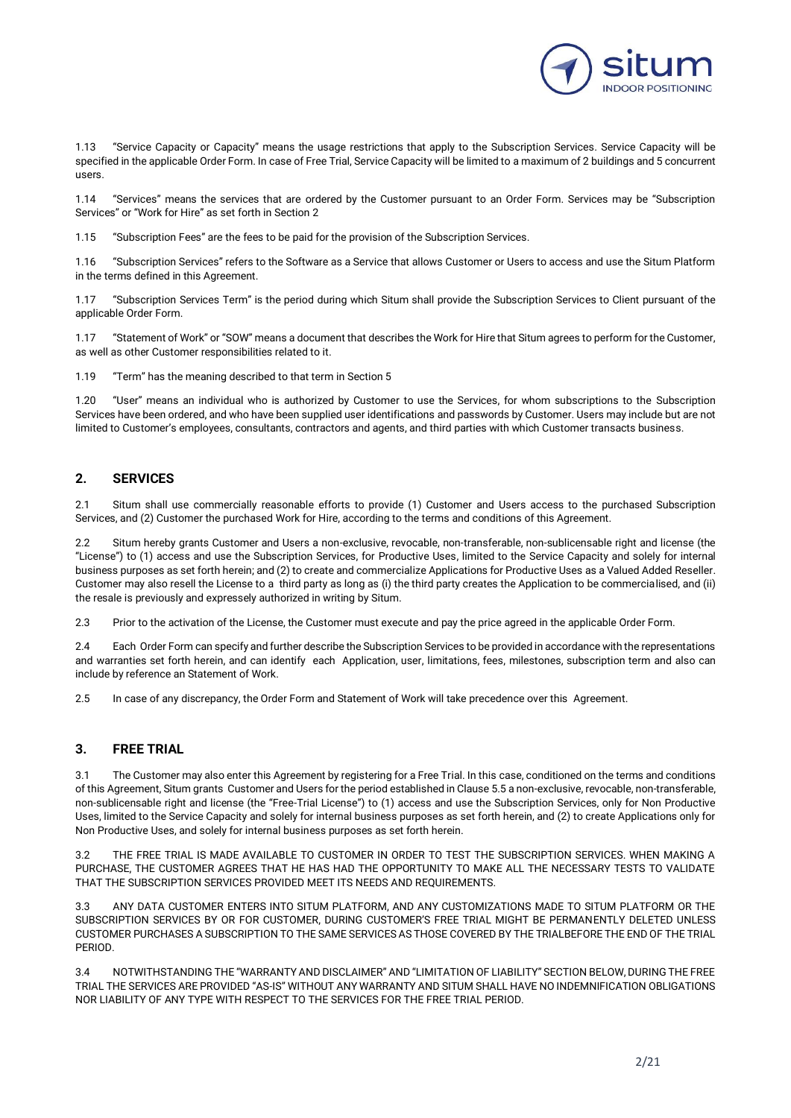

1.13 "Service Capacity or Capacity" means the usage restrictions that apply to the Subscription Services. Service Capacity will be specified in the applicable Order Form. In case of Free Trial, Service Capacity will be limited to a maximum of 2 buildings and 5 concurrent users.

1.14 "Services" means the services that are ordered by the Customer pursuant to an Order Form. Services may be "Subscription Services" or "Work for Hire" as set forth in Section 2

1.15 "Subscription Fees" are the fees to be paid for the provision of the Subscription Services.

1.16 "Subscription Services" refers to the Software as a Service that allows Customer or Users to access and use the Situm Platform in the terms defined in this Agreement.

1.17 "Subscription Services Term" is the period during which Situm shall provide the Subscription Services to Client pursuant of the applicable Order Form.

1.17 "Statement of Work" or "SOW" means a document that describes the Work for Hire that Situm agrees to perform for the Customer, as well as other Customer responsibilities related to it.

1.19 "Term" has the meaning described to that term in Section 5

1.20 "User" means an individual who is authorized by Customer to use the Services, for whom subscriptions to the Subscription Services have been ordered, and who have been supplied user identifications and passwords by Customer. Users may include but are not limited to Customer's employees, consultants, contractors and agents, and third parties with which Customer transacts business.

## **2. SERVICES**

2.1 Situm shall use commercially reasonable efforts to provide (1) Customer and Users access to the purchased Subscription Services, and (2) Customer the purchased Work for Hire, according to the terms and conditions of this Agreement.

2.2 Situm hereby grants Customer and Users a non-exclusive, revocable, non-transferable, non-sublicensable right and license (the "License") to (1) access and use the Subscription Services, for Productive Uses, limited to the Service Capacity and solely for internal business purposes as set forth herein; and (2) to create and commercialize Applications for Productive Uses as a Valued Added Reseller. Customer may also resell the License to a third party as long as (i) the third party creates the Application to be commercialised, and (ii) the resale is previously and expressely authorized in writing by Situm.

2.3 Prior to the activation of the License, the Customer must execute and pay the price agreed in the applicable Order Form.

2.4 Each Order Form can specify and further describe the Subscription Services to be provided in accordance with the representations and warranties set forth herein, and can identify each Application, user, limitations, fees, milestones, subscription term and also can include by reference an Statement of Work.

2.5 In case of any discrepancy, the Order Form and Statement of Work will take precedence over this Agreement.

## **3. FREE TRIAL**

The Customer may also enter this Agreement by registering for a Free Trial. In this case, conditioned on the terms and conditions of this Agreement, Situm grants Customer and Users for the period established in Clause 5.5 a non-exclusive, revocable, non-transferable, non-sublicensable right and license (the "Free-Trial License") to (1) access and use the Subscription Services, only for Non Productive Uses, limited to the Service Capacity and solely for internal business purposes as set forth herein, and (2) to create Applications only for Non Productive Uses, and solely for internal business purposes as set forth herein.

3.2 THE FREE TRIAL IS MADE AVAILABLE TO CUSTOMER IN ORDER TO TEST THE SUBSCRIPTION SERVICES. WHEN MAKING A PURCHASE, THE CUSTOMER AGREES THAT HE HAS HAD THE OPPORTUNITY TO MAKE ALL THE NECESSARY TESTS TO VALIDATE THAT THE SUBSCRIPTION SERVICES PROVIDED MEET ITS NEEDS AND REQUIREMENTS.

3.3 ANY DATA CUSTOMER ENTERS INTO SITUM PLATFORM, AND ANY CUSTOMIZATIONS MADE TO SITUM PLATFORM OR THE SUBSCRIPTION SERVICES BY OR FOR CUSTOMER, DURING CUSTOMER'S FREE TRIAL MIGHT BE PERMANENTLY DELETED UNLESS CUSTOMER PURCHASES A SUBSCRIPTION TO THE SAME SERVICES AS THOSE COVERED BY THE TRIALBEFORE THE END OF THE TRIAL PERIOD.

3.4 NOTWITHSTANDING THE "WARRANTY AND DISCLAIMER" AND "LIMITATION OF LIABILITY" SECTION BELOW, DURING THE FREE TRIAL THE SERVICES ARE PROVIDED "AS-IS" WITHOUT ANY WARRANTY AND SITUM SHALL HAVE NO INDEMNIFICATION OBLIGATIONS NOR LIABILITY OF ANY TYPE WITH RESPECT TO THE SERVICES FOR THE FREE TRIAL PERIOD.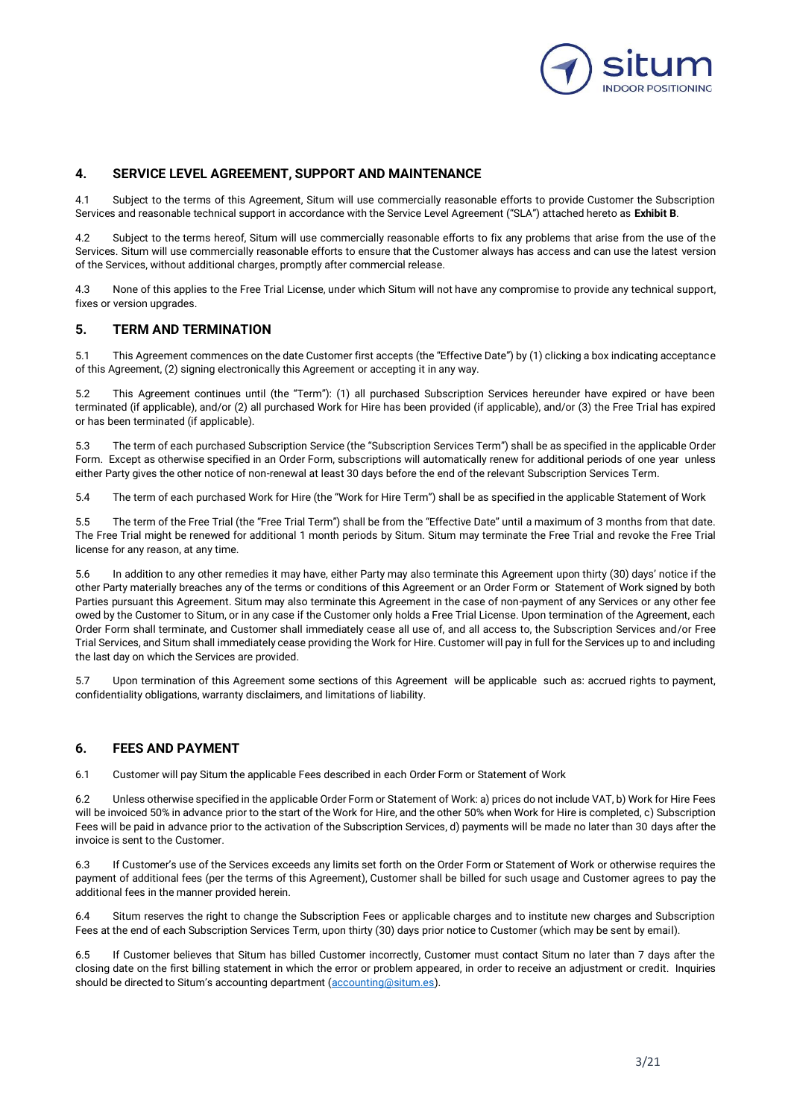

## **4. SERVICE LEVEL AGREEMENT, SUPPORT AND MAINTENANCE**

4.1 Subject to the terms of this Agreement, Situm will use commercially reasonable efforts to provide Customer the Subscription Services and reasonable technical support in accordance with the Service Level Agreement ("SLA") attached hereto as **Exhibit B**.

Subject to the terms hereof, Situm will use commercially reasonable efforts to fix any problems that arise from the use of the Services. Situm will use commercially reasonable efforts to ensure that the Customer always has access and can use the latest version of the Services, without additional charges, promptly after commercial release.

4.3 None of this applies to the Free Trial License, under which Situm will not have any compromise to provide any technical support, fixes or version upgrades.

## **5. TERM AND TERMINATION**

5.1 This Agreement commences on the date Customer first accepts (the "Effective Date") by (1) clicking a box indicating acceptance of this Agreement, (2) signing electronically this Agreement or accepting it in any way.

5.2 This Agreement continues until (the "Term"): (1) all purchased Subscription Services hereunder have expired or have been terminated (if applicable), and/or (2) all purchased Work for Hire has been provided (if applicable), and/or (3) the Free Trial has expired or has been terminated (if applicable).

5.3 The term of each purchased Subscription Service (the "Subscription Services Term") shall be as specified in the applicable Order Form. Except as otherwise specified in an Order Form, subscriptions will automatically renew for additional periods of one year unless either Party gives the other notice of non-renewal at least 30 days before the end of the relevant Subscription Services Term.

5.4 The term of each purchased Work for Hire (the "Work for Hire Term") shall be as specified in the applicable Statement of Work

5.5 The term of the Free Trial (the "Free Trial Term") shall be from the "Effective Date" until a maximum of 3 months from that date. The Free Trial might be renewed for additional 1 month periods by Situm. Situm may terminate the Free Trial and revoke the Free Trial license for any reason, at any time.

5.6 In addition to any other remedies it may have, either Party may also terminate this Agreement upon thirty (30) days' notice if the other Party materially breaches any of the terms or conditions of this Agreement or an Order Form or Statement of Work signed by both Parties pursuant this Agreement. Situm may also terminate this Agreement in the case of non-payment of any Services or any other fee owed by the Customer to Situm, or in any case if the Customer only holds a Free Trial License. Upon termination of the Agreement, each Order Form shall terminate, and Customer shall immediately cease all use of, and all access to, the Subscription Services and/or Free Trial Services, and Situm shall immediately cease providing the Work for Hire. Customer will pay in full for the Services up to and including the last day on which the Services are provided.

5.7 Upon termination of this Agreement some sections of this Agreement will be applicable such as: accrued rights to payment, confidentiality obligations, warranty disclaimers, and limitations of liability.

### **6. FEES AND PAYMENT**

6.1 Customer will pay Situm the applicable Fees described in each Order Form or Statement of Work

6.2 Unless otherwise specified in the applicable Order Form or Statement of Work: a) prices do not include VAT, b) Work for Hire Fees will be invoiced 50% in advance prior to the start of the Work for Hire, and the other 50% when Work for Hire is completed, c) Subscription Fees will be paid in advance prior to the activation of the Subscription Services, d) payments will be made no later than 30 days after the invoice is sent to the Customer.

6.3 If Customer's use of the Services exceeds any limits set forth on the Order Form or Statement of Work or otherwise requires the payment of additional fees (per the terms of this Agreement), Customer shall be billed for such usage and Customer agrees to pay the additional fees in the manner provided herein.

6.4 Situm reserves the right to change the Subscription Fees or applicable charges and to institute new charges and Subscription Fees at the end of each Subscription Services Term, upon thirty (30) days prior notice to Customer (which may be sent by email).

6.5 If Customer believes that Situm has billed Customer incorrectly, Customer must contact Situm no later than 7 days after the closing date on the first billing statement in which the error or problem appeared, in order to receive an adjustment or credit. Inquiries should be directed to Situm's accounting department ([accounting@situm.es\)](mailto:accounting@situm.es).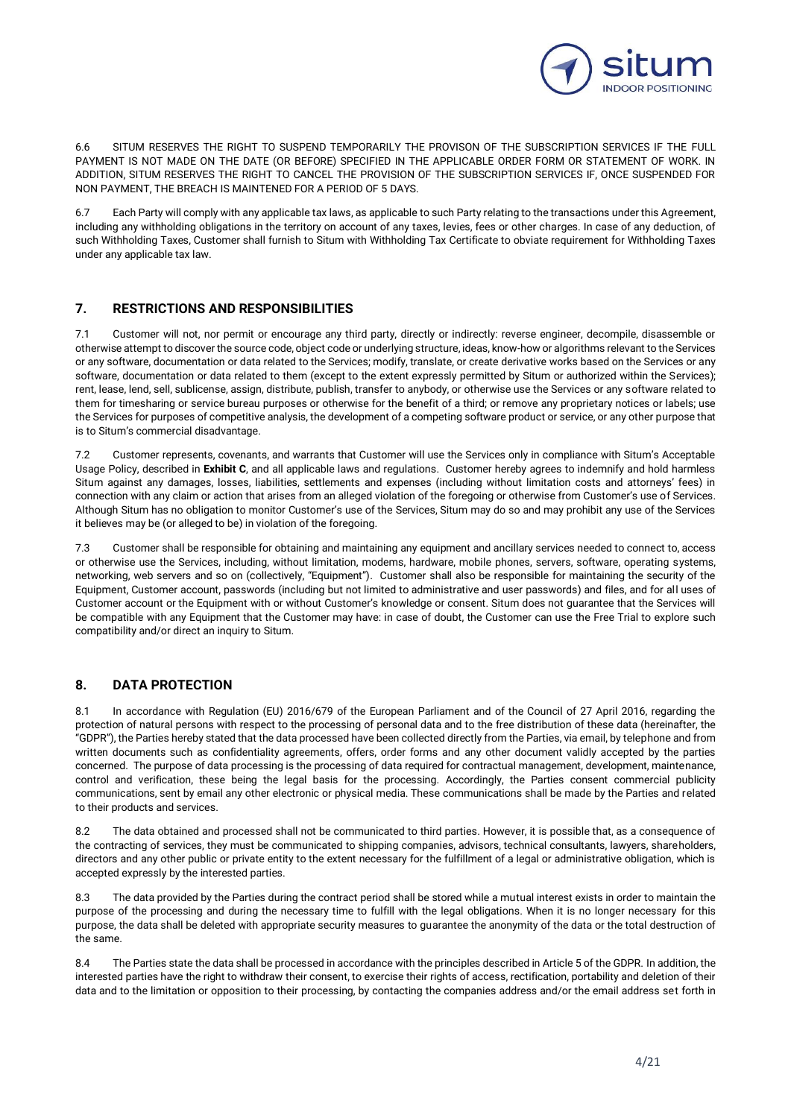

6.6 SITUM RESERVES THE RIGHT TO SUSPEND TEMPORARILY THE PROVISON OF THE SUBSCRIPTION SERVICES IF THE FULL PAYMENT IS NOT MADE ON THE DATE (OR BEFORE) SPECIFIED IN THE APPLICABLE ORDER FORM OR STATEMENT OF WORK. IN ADDITION, SITUM RESERVES THE RIGHT TO CANCEL THE PROVISION OF THE SUBSCRIPTION SERVICES IF, ONCE SUSPENDED FOR NON PAYMENT, THE BREACH IS MAINTENED FOR A PERIOD OF 5 DAYS.

6.7 Each Party will comply with any applicable tax laws, as applicable to such Party relating to the transactions under this Agreement, including any withholding obligations in the territory on account of any taxes, levies, fees or other charges. In case of any deduction, of such Withholding Taxes, Customer shall furnish to Situm with Withholding Tax Certificate to obviate requirement for Withholding Taxes under any applicable tax law.

## **7. RESTRICTIONS AND RESPONSIBILITIES**

7.1 Customer will not, nor permit or encourage any third party, directly or indirectly: reverse engineer, decompile, disassemble or otherwise attempt to discover the source code, object code or underlying structure, ideas, know-how or algorithms relevant to the Services or any software, documentation or data related to the Services; modify, translate, or create derivative works based on the Services or any software, documentation or data related to them (except to the extent expressly permitted by Situm or authorized within the Services); rent, lease, lend, sell, sublicense, assign, distribute, publish, transfer to anybody, or otherwise use the Services or any software related to them for timesharing or service bureau purposes or otherwise for the benefit of a third; or remove any proprietary notices or labels; use the Services for purposes of competitive analysis, the development of a competing software product or service, or any other purpose that is to Situm's commercial disadvantage.

7.2 Customer represents, covenants, and warrants that Customer will use the Services only in compliance with Situm's Acceptable Usage Policy, described in **Exhibit C**, and all applicable laws and regulations. Customer hereby agrees to indemnify and hold harmless Situm against any damages, losses, liabilities, settlements and expenses (including without limitation costs and attorneys' fees) in connection with any claim or action that arises from an alleged violation of the foregoing or otherwise from Customer's use of Services. Although Situm has no obligation to monitor Customer's use of the Services, Situm may do so and may prohibit any use of the Services it believes may be (or alleged to be) in violation of the foregoing.

7.3 Customer shall be responsible for obtaining and maintaining any equipment and ancillary services needed to connect to, access or otherwise use the Services, including, without limitation, modems, hardware, mobile phones, servers, software, operating systems, networking, web servers and so on (collectively, "Equipment"). Customer shall also be responsible for maintaining the security of the Equipment, Customer account, passwords (including but not limited to administrative and user passwords) and files, and for all uses of Customer account or the Equipment with or without Customer's knowledge or consent. Situm does not guarantee that the Services will be compatible with any Equipment that the Customer may have: in case of doubt, the Customer can use the Free Trial to explore such compatibility and/or direct an inquiry to Situm.

## **8. DATA PROTECTION**

8.1 In accordance with Regulation (EU) 2016/679 of the European Parliament and of the Council of 27 April 2016, regarding the protection of natural persons with respect to the processing of personal data and to the free distribution of these data (hereinafter, the "GDPR"), the Parties hereby stated that the data processed have been collected directly from the Parties, via email, by telephone and from written documents such as confidentiality agreements, offers, order forms and any other document validly accepted by the parties concerned. The purpose of data processing is the processing of data required for contractual management, development, maintenance, control and verification, these being the legal basis for the processing. Accordingly, the Parties consent commercial publicity communications, sent by email any other electronic or physical media. These communications shall be made by the Parties and related to their products and services.

8.2 The data obtained and processed shall not be communicated to third parties. However, it is possible that, as a consequence of the contracting of services, they must be communicated to shipping companies, advisors, technical consultants, lawyers, shareholders, directors and any other public or private entity to the extent necessary for the fulfillment of a legal or administrative obligation, which is accepted expressly by the interested parties.

8.3 The data provided by the Parties during the contract period shall be stored while a mutual interest exists in order to maintain the purpose of the processing and during the necessary time to fulfill with the legal obligations. When it is no longer necessary for this purpose, the data shall be deleted with appropriate security measures to guarantee the anonymity of the data or the total destruction of the same.

8.4 The Parties state the data shall be processed in accordance with the principles described in Article 5 of the GDPR. In addition, the interested parties have the right to withdraw their consent, to exercise their rights of access, rectification, portability and deletion of their data and to the limitation or opposition to their processing, by contacting the companies address and/or the email address set forth in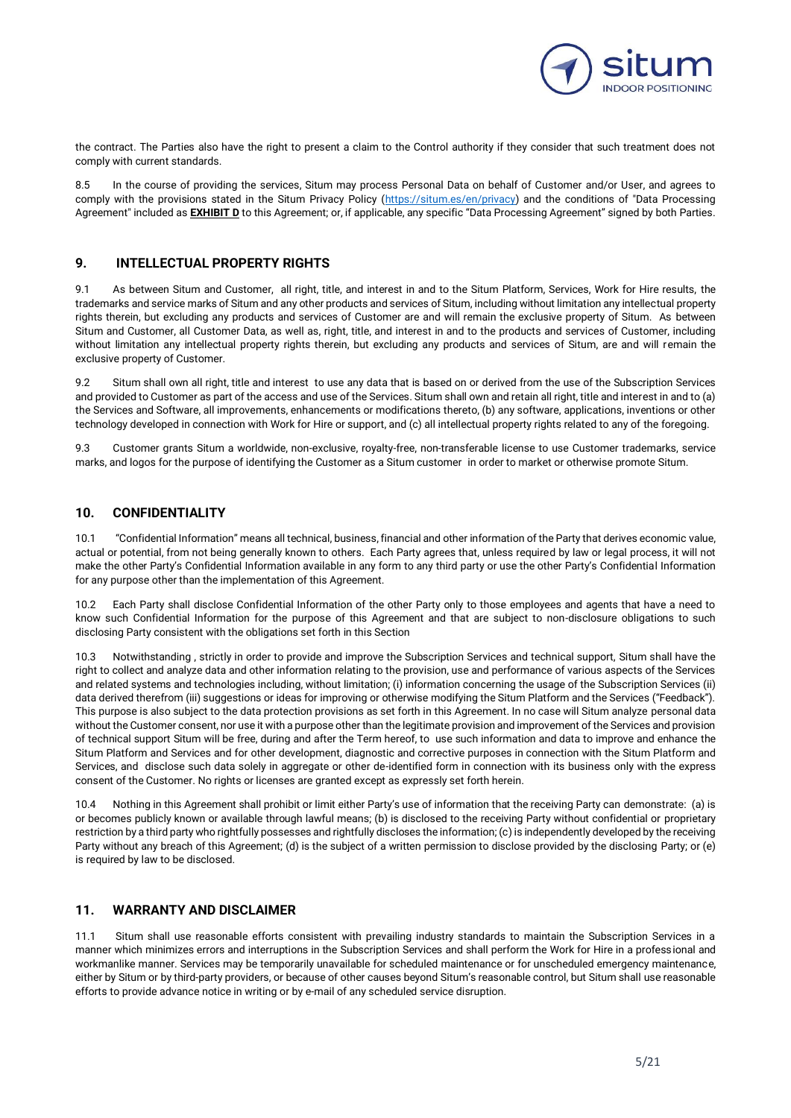

the contract. The Parties also have the right to present a claim to the Control authority if they consider that such treatment does not comply with current standards.

8.5 In the course of providing the services, Situm may process Personal Data on behalf of Customer and/or User, and agrees to comply with the provisions stated in the Situm Privacy Policy [\(https://situm.es/en/privacy\)](https://situm.es/en/privacy) and the conditions of "Data Processing Agreement" included as **EXHIBIT D** to this Agreement; or, if applicable, any specific "Data Processing Agreement" signed by both Parties.

## **9. INTELLECTUAL PROPERTY RIGHTS**

9.1 As between Situm and Customer, all right, title, and interest in and to the Situm Platform, Services, Work for Hire results, the trademarks and service marks of Situm and any other products and services of Situm, including without limitation any intellectual property rights therein, but excluding any products and services of Customer are and will remain the exclusive property of Situm. As between Situm and Customer, all Customer Data, as well as, right, title, and interest in and to the products and services of Customer, including without limitation any intellectual property rights therein, but excluding any products and services of Situm, are and will remain the exclusive property of Customer.

9.2 Situm shall own all right, title and interest to use any data that is based on or derived from the use of the Subscription Services and provided to Customer as part of the access and use of the Services. Situm shall own and retain all right, title and interest in and to (a) the Services and Software, all improvements, enhancements or modifications thereto, (b) any software, applications, inventions or other technology developed in connection with Work for Hire or support, and (c) all intellectual property rights related to any of the foregoing.

9.3 Customer grants Situm a worldwide, non-exclusive, royalty-free, non-transferable license to use Customer trademarks, service marks, and logos for the purpose of identifying the Customer as a Situm customer in order to market or otherwise promote Situm.

## **10. CONFIDENTIALITY**

10.1 "Confidential Information" means all technical, business, financial and other information of the Party that derives economic value, actual or potential, from not being generally known to others. Each Party agrees that, unless required by law or legal process, it will not make the other Party's Confidential Information available in any form to any third party or use the other Party's Confidential Information for any purpose other than the implementation of this Agreement.

10.2 Each Party shall disclose Confidential Information of the other Party only to those employees and agents that have a need to know such Confidential Information for the purpose of this Agreement and that are subject to non-disclosure obligations to such disclosing Party consistent with the obligations set forth in this Section

10.3 Notwithstanding , strictly in order to provide and improve the Subscription Services and technical support, Situm shall have the right to collect and analyze data and other information relating to the provision, use and performance of various aspects of the Services and related systems and technologies including, without limitation; (i) information concerning the usage of the Subscription Services (ii) data derived therefrom (iii) suggestions or ideas for improving or otherwise modifying the Situm Platform and the Services ("Feedback"). This purpose is also subject to the data protection provisions as set forth in this Agreement. In no case will Situm analyze personal data without the Customer consent, nor use it with a purpose other than the legitimate provision and improvement of the Services and provision of technical support Situm will be free, during and after the Term hereof, to use such information and data to improve and enhance the Situm Platform and Services and for other development, diagnostic and corrective purposes in connection with the Situm Platform and Services, and disclose such data solely in aggregate or other de-identified form in connection with its business only with the express consent of the Customer. No rights or licenses are granted except as expressly set forth herein.

10.4 Nothing in this Agreement shall prohibit or limit either Party's use of information that the receiving Party can demonstrate: (a) is or becomes publicly known or available through lawful means; (b) is disclosed to the receiving Party without confidential or proprietary restriction by a third party who rightfully possesses and rightfully discloses the information; (c) is independently developed by the receiving Party without any breach of this Agreement; (d) is the subject of a written permission to disclose provided by the disclosing Party; or (e) is required by law to be disclosed.

## **11. WARRANTY AND DISCLAIMER**

11.1 Situm shall use reasonable efforts consistent with prevailing industry standards to maintain the Subscription Services in a manner which minimizes errors and interruptions in the Subscription Services and shall perform the Work for Hire in a professional and workmanlike manner. Services may be temporarily unavailable for scheduled maintenance or for unscheduled emergency maintenance, either by Situm or by third-party providers, or because of other causes beyond Situm's reasonable control, but Situm shall use reasonable efforts to provide advance notice in writing or by e-mail of any scheduled service disruption.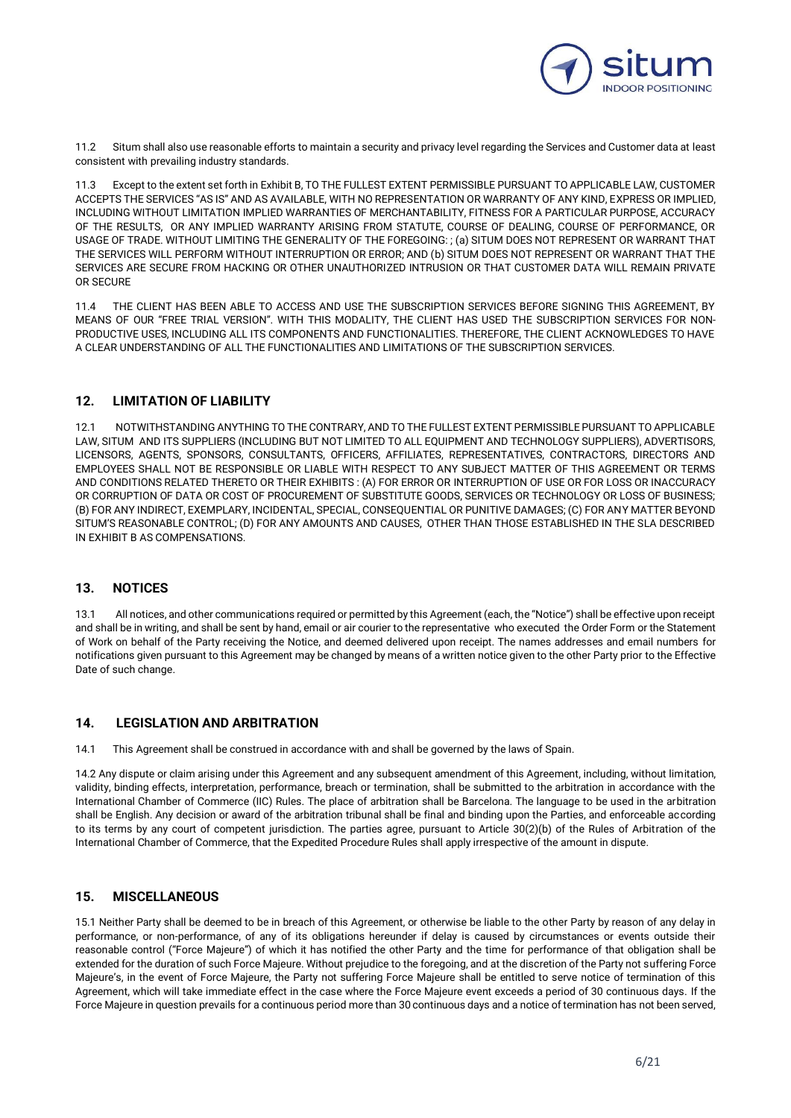

11.2 Situm shall also use reasonable efforts to maintain a security and privacy level regarding the Services and Customer data at least consistent with prevailing industry standards.

11.3 Except to the extent set forth in Exhibit B, TO THE FULLEST EXTENT PERMISSIBLE PURSUANT TO APPLICABLE LAW, CUSTOMER ACCEPTS THE SERVICES "AS IS" AND AS AVAILABLE, WITH NO REPRESENTATION OR WARRANTY OF ANY KIND, EXPRESS OR IMPLIED, INCLUDING WITHOUT LIMITATION IMPLIED WARRANTIES OF MERCHANTABILITY, FITNESS FOR A PARTICULAR PURPOSE, ACCURACY OF THE RESULTS, OR ANY IMPLIED WARRANTY ARISING FROM STATUTE, COURSE OF DEALING, COURSE OF PERFORMANCE, OR USAGE OF TRADE. WITHOUT LIMITING THE GENERALITY OF THE FOREGOING: ; (a) SITUM DOES NOT REPRESENT OR WARRANT THAT THE SERVICES WILL PERFORM WITHOUT INTERRUPTION OR ERROR; AND (b) SITUM DOES NOT REPRESENT OR WARRANT THAT THE SERVICES ARE SECURE FROM HACKING OR OTHER UNAUTHORIZED INTRUSION OR THAT CUSTOMER DATA WILL REMAIN PRIVATE OR SECURE

11.4 THE CLIENT HAS BEEN ABLE TO ACCESS AND USE THE SUBSCRIPTION SERVICES BEFORE SIGNING THIS AGREEMENT, BY MEANS OF OUR "FREE TRIAL VERSION". WITH THIS MODALITY, THE CLIENT HAS USED THE SUBSCRIPTION SERVICES FOR NON-PRODUCTIVE USES, INCLUDING ALL ITS COMPONENTS AND FUNCTIONALITIES. THEREFORE, THE CLIENT ACKNOWLEDGES TO HAVE A CLEAR UNDERSTANDING OF ALL THE FUNCTIONALITIES AND LIMITATIONS OF THE SUBSCRIPTION SERVICES.

## **12. LIMITATION OF LIABILITY**

12.1 NOTWITHSTANDING ANYTHING TO THE CONTRARY, AND TO THE FULLEST EXTENT PERMISSIBLE PURSUANT TO APPLICABLE LAW, SITUM AND ITS SUPPLIERS (INCLUDING BUT NOT LIMITED TO ALL EQUIPMENT AND TECHNOLOGY SUPPLIERS), ADVERTISORS, LICENSORS, AGENTS, SPONSORS, CONSULTANTS, OFFICERS, AFFILIATES, REPRESENTATIVES, CONTRACTORS, DIRECTORS AND EMPLOYEES SHALL NOT BE RESPONSIBLE OR LIABLE WITH RESPECT TO ANY SUBJECT MATTER OF THIS AGREEMENT OR TERMS AND CONDITIONS RELATED THERETO OR THEIR EXHIBITS : (A) FOR ERROR OR INTERRUPTION OF USE OR FOR LOSS OR INACCURACY OR CORRUPTION OF DATA OR COST OF PROCUREMENT OF SUBSTITUTE GOODS, SERVICES OR TECHNOLOGY OR LOSS OF BUSINESS; (B) FOR ANY INDIRECT, EXEMPLARY, INCIDENTAL, SPECIAL, CONSEQUENTIAL OR PUNITIVE DAMAGES; (C) FOR ANY MATTER BEYOND SITUM'S REASONABLE CONTROL; (D) FOR ANY AMOUNTS AND CAUSES, OTHER THAN THOSE ESTABLISHED IN THE SLA DESCRIBED IN EXHIBIT B AS COMPENSATIONS.

### **13. NOTICES**

13.1 All notices, and other communications required or permitted by this Agreement (each, the "Notice") shall be effective upon receipt and shall be in writing, and shall be sent by hand, email or air courier to the representative who executed the Order Form or the Statement of Work on behalf of the Party receiving the Notice, and deemed delivered upon receipt. The names addresses and email numbers for notifications given pursuant to this Agreement may be changed by means of a written notice given to the other Party prior to the Effective Date of such change.

## **14. LEGISLATION AND ARBITRATION**

14.1 This Agreement shall be construed in accordance with and shall be governed by the laws of Spain.

14.2 Any dispute or claim arising under this Agreement and any subsequent amendment of this Agreement, including, without limitation, validity, binding effects, interpretation, performance, breach or termination, shall be submitted to the arbitration in accordance with the International Chamber of Commerce (IIC) Rules. The place of arbitration shall be Barcelona. The language to be used in the arbitration shall be English. Any decision or award of the arbitration tribunal shall be final and binding upon the Parties, and enforceable according to its terms by any court of competent jurisdiction. The parties agree, pursuant to Article 30(2)(b) of the Rules of Arbitration of the International Chamber of Commerce, that the Expedited Procedure Rules shall apply irrespective of the amount in dispute.

## **15. MISCELLANEOUS**

15.1 Neither Party shall be deemed to be in breach of this Agreement, or otherwise be liable to the other Party by reason of any delay in performance, or non-performance, of any of its obligations hereunder if delay is caused by circumstances or events outside their reasonable control ("Force Majeure") of which it has notified the other Party and the time for performance of that obligation shall be extended for the duration of such Force Majeure. Without prejudice to the foregoing, and at the discretion of the Party not suffering Force Majeure's, in the event of Force Majeure, the Party not suffering Force Majeure shall be entitled to serve notice of termination of this Agreement, which will take immediate effect in the case where the Force Majeure event exceeds a period of 30 continuous days. If the Force Majeure in question prevails for a continuous period more than 30 continuous days and a notice of termination has not been served,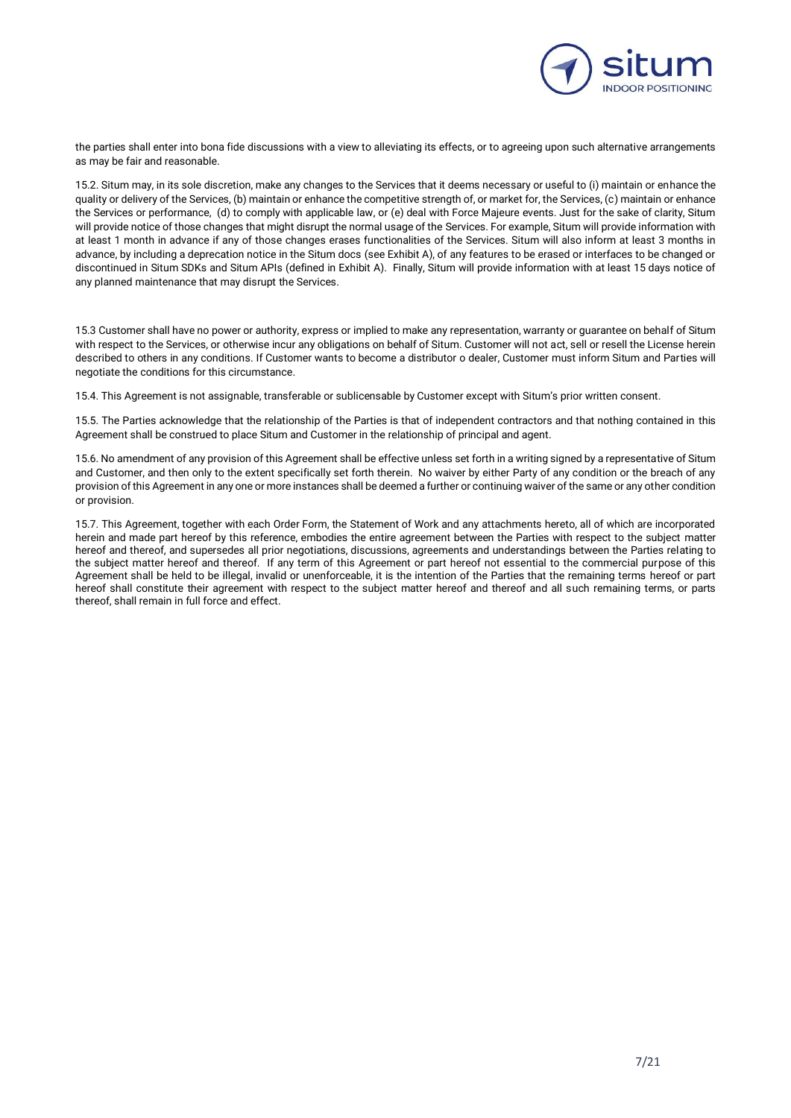

the parties shall enter into bona fide discussions with a view to alleviating its effects, or to agreeing upon such alternative arrangements as may be fair and reasonable.

15.2. Situm may, in its sole discretion, make any changes to the Services that it deems necessary or useful to (i) maintain or enhance the quality or delivery of the Services, (b) maintain or enhance the competitive strength of, or market for, the Services, (c) maintain or enhance the Services or performance, (d) to comply with applicable law, or (e) deal with Force Majeure events. Just for the sake of clarity, Situm will provide notice of those changes that might disrupt the normal usage of the Services. For example, Situm will provide information with at least 1 month in advance if any of those changes erases functionalities of the Services. Situm will also inform at least 3 months in advance, by including a deprecation notice in the Situm docs (see Exhibit A), of any features to be erased or interfaces to be changed or discontinued in Situm SDKs and Situm APIs (defined in Exhibit A). Finally, Situm will provide information with at least 15 days notice of any planned maintenance that may disrupt the Services.

15.3 Customer shall have no power or authority, express or implied to make any representation, warranty or guarantee on behalf of Situm with respect to the Services, or otherwise incur any obligations on behalf of Situm. Customer will not act, sell or resell the License herein described to others in any conditions. If Customer wants to become a distributor o dealer, Customer must inform Situm and Parties will negotiate the conditions for this circumstance.

15.4. This Agreement is not assignable, transferable or sublicensable by Customer except with Situm's prior written consent.

15.5. The Parties acknowledge that the relationship of the Parties is that of independent contractors and that nothing contained in this Agreement shall be construed to place Situm and Customer in the relationship of principal and agent.

15.6. No amendment of any provision of this Agreement shall be effective unless set forth in a writing signed by a representative of Situm and Customer, and then only to the extent specifically set forth therein. No waiver by either Party of any condition or the breach of any provision of this Agreement in any one or more instances shall be deemed a further or continuing waiver of the same or any other condition or provision.

15.7. This Agreement, together with each Order Form, the Statement of Work and any attachments hereto, all of which are incorporated herein and made part hereof by this reference, embodies the entire agreement between the Parties with respect to the subject matter hereof and thereof, and supersedes all prior negotiations, discussions, agreements and understandings between the Parties relating to the subject matter hereof and thereof. If any term of this Agreement or part hereof not essential to the commercial purpose of this Agreement shall be held to be illegal, invalid or unenforceable, it is the intention of the Parties that the remaining terms hereof or part hereof shall constitute their agreement with respect to the subject matter hereof and thereof and all such remaining terms, or parts thereof, shall remain in full force and effect.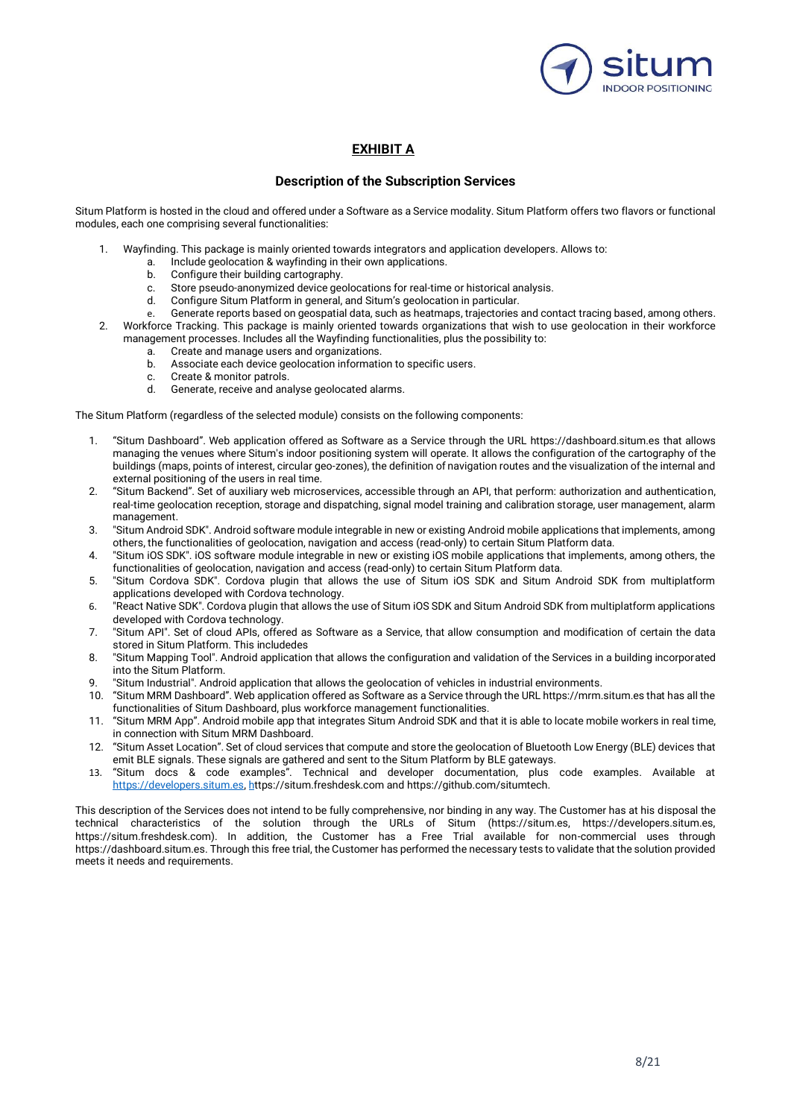

## **EXHIBIT A**

### **Description of the Subscription Services**

Situm Platform is hosted in the cloud and offered under a Software as a Service modality. Situm Platform offers two flavors or functional modules, each one comprising several functionalities:

- 1. Wayfinding. This package is mainly oriented towards integrators and application developers. Allows to:
	- a. Include geolocation & wayfinding in their own applications.
	- b. Configure their building cartography.
	- c. Store pseudo-anonymized device geolocations for real-time or historical analysis.
	- d. Configure Situm Platform in general, and Situm's geolocation in particular.
	- e. Generate reports based on geospatial data, such as heatmaps, trajectories and contact tracing based, among others.
- 2. Workforce Tracking. This package is mainly oriented towards organizations that wish to use geolocation in their workforce management processes. Includes all the Wayfinding functionalities, plus the possibility to:
	- a. Create and manage users and organizations.
	- b. Associate each device geolocation information to specific users.
	- c. Create & monitor patrols.<br>d Generate, receive and ana
	- Generate, receive and analyse geolocated alarms.

The Situm Platform (regardless of the selected module) consists on the following components:

- 1. "Situm Dashboard". Web application offered as Software as a Service through the URL https://dashboard.situm.es that allows managing the venues where Situm's indoor positioning system will operate. It allows the configuration of the cartography of the buildings (maps, points of interest, circular geo-zones), the definition of navigation routes and the visualization of the internal and external positioning of the users in real time.
- 2. "Situm Backend". Set of auxiliary web microservices, accessible through an API, that perform: authorization and authentication, real-time geolocation reception, storage and dispatching, signal model training and calibration storage, user management, alarm management.
- 3. "Situm Android SDK". Android software module integrable in new or existing Android mobile applications that implements, among others, the functionalities of geolocation, navigation and access (read-only) to certain Situm Platform data.
- 4. "Situm iOS SDK". iOS software module integrable in new or existing iOS mobile applications that implements, among others, the functionalities of geolocation, navigation and access (read-only) to certain Situm Platform data.
- 5. "Situm Cordova SDK". Cordova plugin that allows the use of Situm iOS SDK and Situm Android SDK from multiplatform applications developed with Cordova technology.
- 6. "React Native SDK". Cordova plugin that allows the use of Situm iOS SDK and Situm Android SDK from multiplatform applications developed with Cordova technology.
- 7. "Situm API". Set of cloud APIs, offered as Software as a Service, that allow consumption and modification of certain the data stored in Situm Platform. This includedes
- 8. "Situm Mapping Tool". Android application that allows the configuration and validation of the Services in a building incorporated into the Situm Platform.
- 9. "Situm Industrial". Android application that allows the geolocation of vehicles in industrial environments.
- 10. "Situm MRM Dashboard". Web application offered as Software as a Service through the URL https://mrm.situm.es that has all the functionalities of Situm Dashboard, plus workforce management functionalities.
- 11. "Situm MRM App". Android mobile app that integrates Situm Android SDK and that it is able to locate mobile workers in real time, in connection with Situm MRM Dashboard.
- 12. "Situm Asset Location". Set of cloud services that compute and store the geolocation of Bluetooth Low Energy (BLE) devices that emit BLE signals. These signals are gathered and sent to the Situm Platform by BLE gateways.
- 13. "Situm docs & code examples". Technical and developer documentation, plus code examples. Available at [https://developers.situm.es,](https://developers.situm.es/) [ht](https://situm.freshdesk.comh/)tps://situm.freshdesk.com and https://github.com/situmtech.

This description of the Services does not intend to be fully comprehensive, nor binding in any way. The Customer has at his disposal the technical characteristics of the solution through the URLs of Situm (https://situm.es, https://developers.situm.es, https://situm.freshdesk.com). In addition, the Customer has a Free Trial available for non-commercial uses through https://dashboard.situm.es. Through this free trial, the Customer has performed the necessary tests to validate that the solution provided meets it needs and requirements.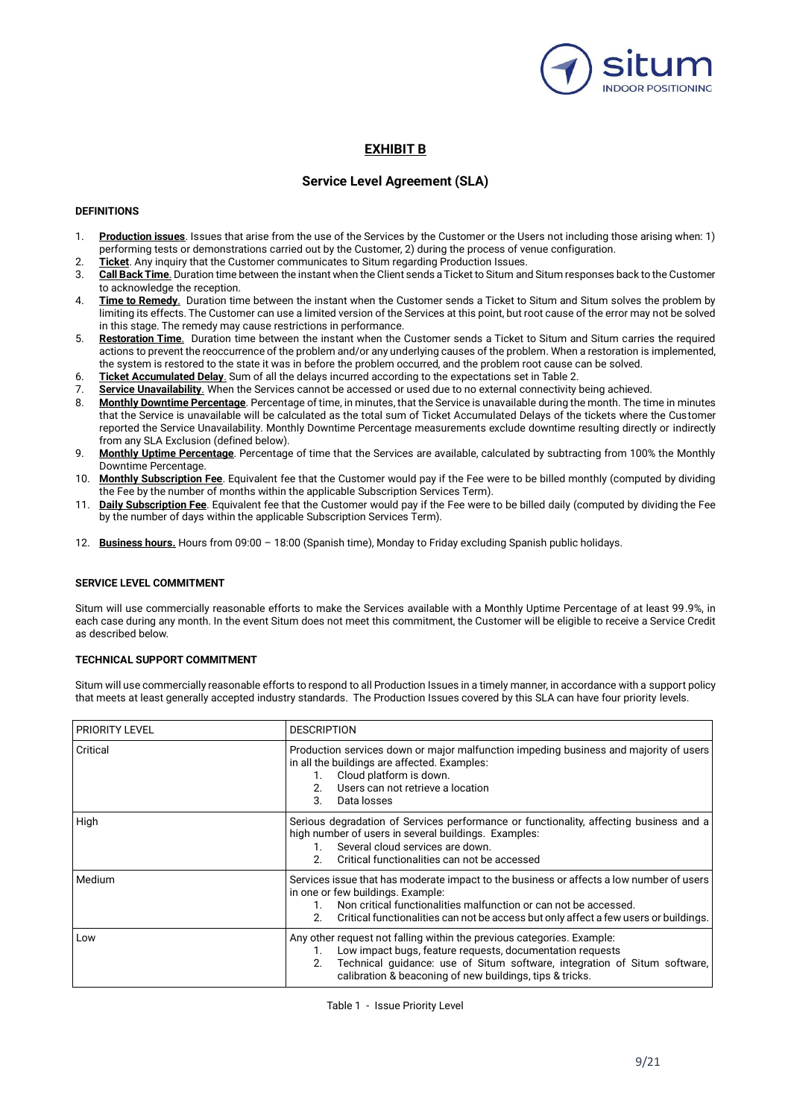

## **EXHIBIT B**

## **Service Level Agreement (SLA)**

### **DEFINITIONS**

- 1. **Production issues**. Issues that arise from the use of the Services by the Customer or the Users not including those arising when: 1) performing tests or demonstrations carried out by the Customer, 2) during the process of venue configuration.
- 2. **Ticket**. Any inquiry that the Customer communicates to Situm regarding Production Issues.
- 3. **Call Back Time**. Duration time between the instant when the Client sends a Ticket to Situm and Situm responses back to the Customer to acknowledge the reception.
- 4. **Time to Remedy**. Duration time between the instant when the Customer sends a Ticket to Situm and Situm solves the problem by limiting its effects. The Customer can use a limited version of the Services at this point, but root cause of the error may not be solved in this stage. The remedy may cause restrictions in performance.
- 5. **Restoration Time**. Duration time between the instant when the Customer sends a Ticket to Situm and Situm carries the required actions to prevent the reoccurrence of the problem and/or any underlying causes of the problem. When a restoration is implemented, the system is restored to the state it was in before the problem occurred, and the problem root cause can be solved.
- 6. **Ticket Accumulated Delay**. Sum of all the delays incurred according to the expectations set in Table 2.
- 7. **Service Unavailability**. When the Services cannot be accessed or used due to no external connectivity being achieved.
- 8. **Monthly Downtime Percentage**. Percentage of time, in minutes, that the Service is unavailable during the month. The time in minutes that the Service is unavailable will be calculated as the total sum of Ticket Accumulated Delays of the tickets where the Customer reported the Service Unavailability. Monthly Downtime Percentage measurements exclude downtime resulting directly or indirectly from any SLA Exclusion (defined below).
- 9. **Monthly Uptime Percentage**. Percentage of time that the Services are available, calculated by subtracting from 100% the Monthly Downtime Percentage.
- 10. **Monthly Subscription Fee**. Equivalent fee that the Customer would pay if the Fee were to be billed monthly (computed by dividing the Fee by the number of months within the applicable Subscription Services Term).
- 11. **Daily Subscription Fee**. Equivalent fee that the Customer would pay if the Fee were to be billed daily (computed by dividing the Fee by the number of days within the applicable Subscription Services Term).
- 12. **Business hours.** Hours from 09:00 18:00 (Spanish time), Monday to Friday excluding Spanish public holidays.

#### **SERVICE LEVEL COMMITMENT**

Situm will use commercially reasonable efforts to make the Services available with a Monthly Uptime Percentage of at least 99.9%, in each case during any month. In the event Situm does not meet this commitment, the Customer will be eligible to receive a Service Credit as described below.

### **TECHNICAL SUPPORT COMMITMENT**

Situm will use commercially reasonable efforts to respond to all Production Issues in a timely manner, in accordance with a support policy that meets at least generally accepted industry standards. The Production Issues covered by this SLA can have four priority levels.

| <b>PRIORITY LEVEL</b> | <b>DESCRIPTION</b>                                                                                                                                                                                                                                                                                   |
|-----------------------|------------------------------------------------------------------------------------------------------------------------------------------------------------------------------------------------------------------------------------------------------------------------------------------------------|
| Critical              | Production services down or major malfunction impeding business and majority of users<br>in all the buildings are affected. Examples:<br>Cloud platform is down.<br>Users can not retrieve a location<br>3<br>Data losses                                                                            |
| High                  | Serious degradation of Services performance or functionality, affecting business and a<br>high number of users in several buildings. Examples:<br>Several cloud services are down.<br>Critical functionalities can not be accessed<br>2                                                              |
| Medium                | Services issue that has moderate impact to the business or affects a low number of users<br>in one or few buildings. Example:<br>Non critical functionalities malfunction or can not be accessed.<br>2.<br>Critical functionalities can not be access but only affect a few users or buildings.      |
| Low                   | Any other request not falling within the previous categories. Example:<br>Low impact bugs, feature requests, documentation requests<br>1.<br>Technical guidance: use of Situm software, integration of Situm software,<br>2 <sup>2</sup><br>calibration & beaconing of new buildings, tips & tricks. |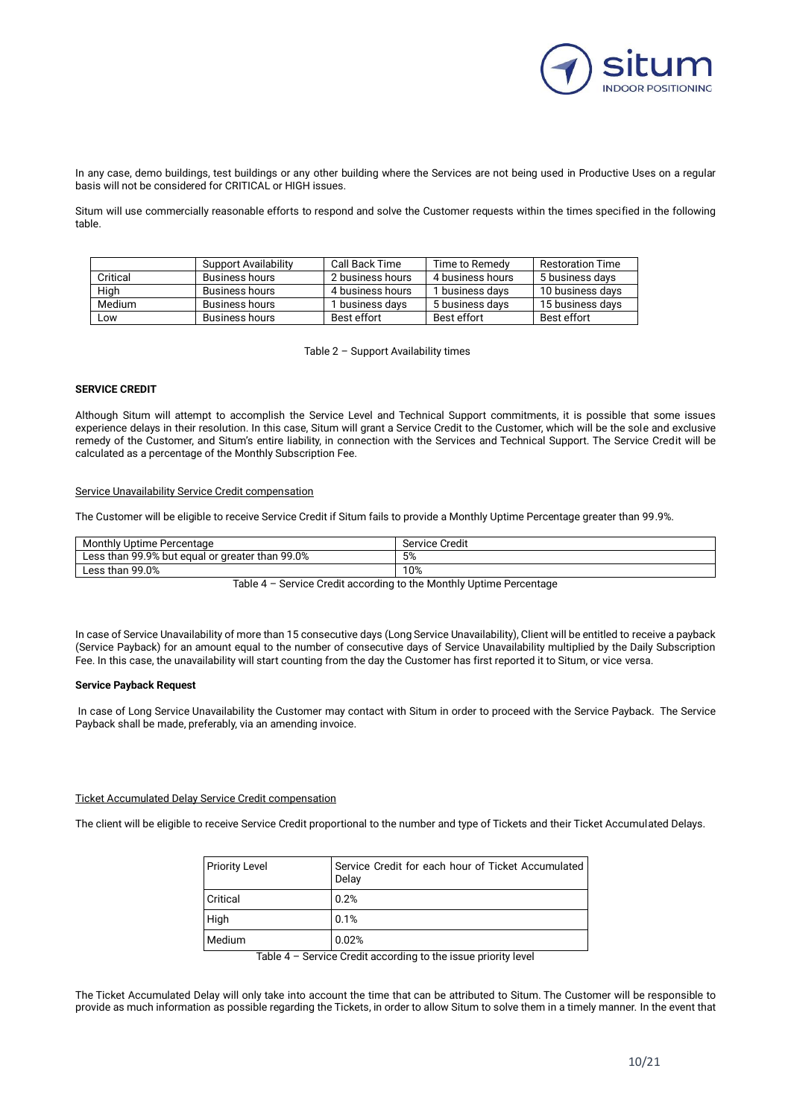

In any case, demo buildings, test buildings or any other building where the Services are not being used in Productive Uses on a regular basis will not be considered for CRITICAL or HIGH issues.

Situm will use commercially reasonable efforts to respond and solve the Customer requests within the times specified in the following table.

|          | Support Availability  | Call Back Time   | Time to Remedy   | Restoration Time |
|----------|-----------------------|------------------|------------------|------------------|
| Critical | Business hours        | 2 business hours | 4 business hours | 5 business davs  |
| High     | Business hours        | 4 business hours | 1 business davs  | 10 business davs |
| Medium   | <b>Business hours</b> | I business davs  | 5 business davs  | 15 business davs |
| Low      | Business hours        | Best effort      | Best effort      | Best effort      |

Table 2 – Support Availability times

### **SERVICE CREDIT**

Although Situm will attempt to accomplish the Service Level and Technical Support commitments, it is possible that some issues experience delays in their resolution. In this case, Situm will grant a Service Credit to the Customer, which will be the sole and exclusive remedy of the Customer, and Situm's entire liability, in connection with the Services and Technical Support. The Service Credit will be calculated as a percentage of the Monthly Subscription Fee.

#### Service Unavailability Service Credit compensation

The Customer will be eligible to receive Service Credit if Situm fails to provide a Monthly Uptime Percentage greater than 99.9%.

| ' Uptime Percentage<br>Monthly                             | Credit<br>Service |
|------------------------------------------------------------|-------------------|
| t equal or greater than 99.0%<br>99.9% but<br>Less<br>than | 5%                |
| 99.0%<br>∟ess '<br>than                                    | 10%               |

Table 4 – Service Credit according to the Monthly Uptime Percentage

In case of Service Unavailability of more than 15 consecutive days (Long Service Unavailability), Client will be entitled to receive a payback (Service Payback) for an amount equal to the number of consecutive days of Service Unavailability multiplied by the Daily Subscription Fee. In this case, the unavailability will start counting from the day the Customer has first reported it to Situm, or vice versa.

#### **Service Payback Request**

In case of Long Service Unavailability the Customer may contact with Situm in order to proceed with the Service Payback. The Service Payback shall be made, preferably, via an amending invoice.

#### Ticket Accumulated Delay Service Credit compensation

The client will be eligible to receive Service Credit proportional to the number and type of Tickets and their Ticket Accumulated Delays.

| <b>Priority Level</b> | Service Credit for each hour of Ticket Accumulated<br>Delay |
|-----------------------|-------------------------------------------------------------|
| Critical              | 0.2%                                                        |
| High                  | 0.1%                                                        |
| Medium                | 0.02%                                                       |

Table 4 – Service Credit according to the issue priority level

The Ticket Accumulated Delay will only take into account the time that can be attributed to Situm. The Customer will be responsible to provide as much information as possible regarding the Tickets, in order to allow Situm to solve them in a timely manner. In the event that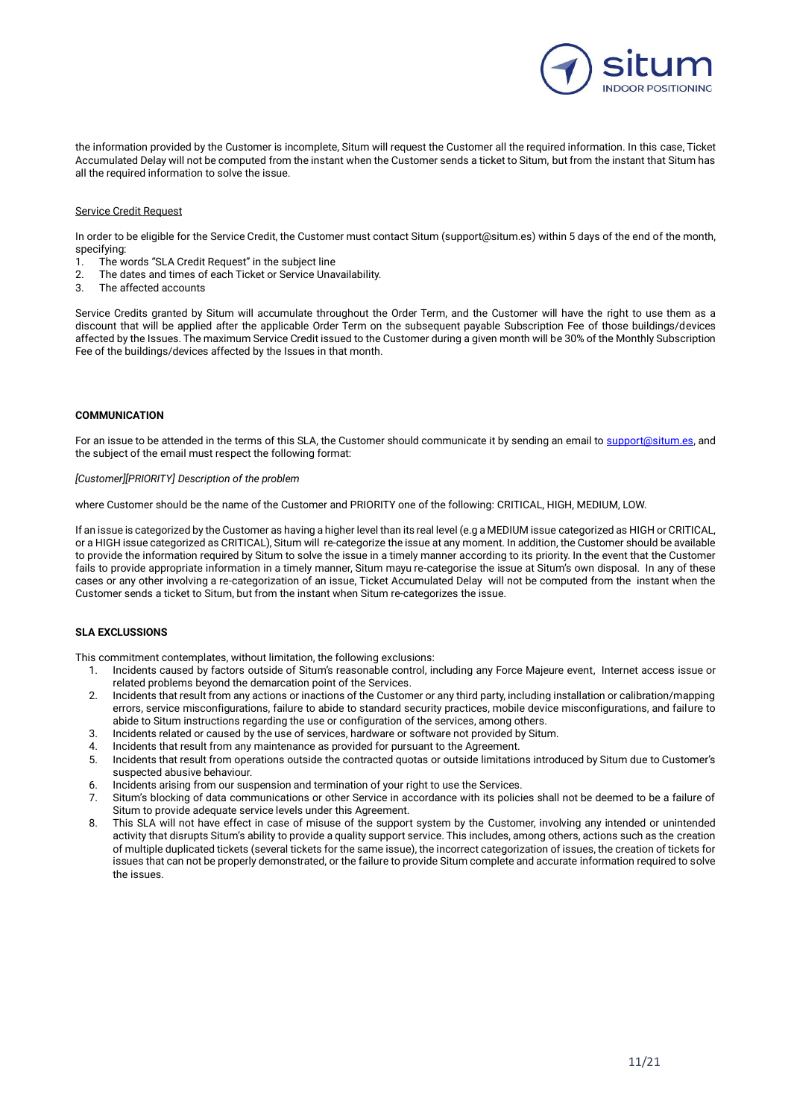

the information provided by the Customer is incomplete, Situm will request the Customer all the required information. In this case, Ticket Accumulated Delay will not be computed from the instant when the Customer sends a ticket to Situm, but from the instant that Situm has all the required information to solve the issue.

#### Service Credit Request

In order to be eligible for the Service Credit, the Customer must contact Situm (support@situm.es) within 5 days of the end of the month, specifying:

- 1. The words "SLA Credit Request" in the subject line
- 2. The dates and times of each Ticket or Service Unavailability.
- The affected accounts

Service Credits granted by Situm will accumulate throughout the Order Term, and the Customer will have the right to use them as a discount that will be applied after the applicable Order Term on the subsequent payable Subscription Fee of those buildings/devices affected by the Issues. The maximum Service Credit issued to the Customer during a given month will be 30% of the Monthly Subscription Fee of the buildings/devices affected by the Issues in that month.

#### **COMMUNICATION**

For an issue to be attended in the terms of this SLA, the Customer should communicate it by sending an email t[o support@situm.es,](mailto:support@situm.es) and the subject of the email must respect the following format:

#### *[Customer][PRIORITY] Description of the problem*

where Customer should be the name of the Customer and PRIORITY one of the following: CRITICAL, HIGH, MEDIUM, LOW.

If an issue is categorized by the Customer as having a higher level than its real level (e.g a MEDIUM issue categorized as HIGH or CRITICAL, or a HIGH issue categorized as CRITICAL), Situm will re-categorize the issue at any moment. In addition, the Customer should be available to provide the information required by Situm to solve the issue in a timely manner according to its priority. In the event that the Customer fails to provide appropriate information in a timely manner, Situm mayu re-categorise the issue at Situm's own disposal. In any of these cases or any other involving a re-categorization of an issue, Ticket Accumulated Delay will not be computed from the instant when the Customer sends a ticket to Situm, but from the instant when Situm re-categorizes the issue.

#### **SLA EXCLUSSIONS**

This commitment contemplates, without limitation, the following exclusions:

- 1. Incidents caused by factors outside of Situm's reasonable control, including any Force Majeure event, Internet access issue or related problems beyond the demarcation point of the Services.
- 2. Incidents that result from any actions or inactions of the Customer or any third party, including installation or calibration/mapping errors, service misconfigurations, failure to abide to standard security practices, mobile device misconfigurations, and failure to abide to Situm instructions regarding the use or configuration of the services, among others.
- 3. Incidents related or caused by the use of services, hardware or software not provided by Situm.
- 4. Incidents that result from any maintenance as provided for pursuant to the Agreement.
- 5. Incidents that result from operations outside the contracted quotas or outside limitations introduced by Situm due to Customer's suspected abusive behaviour.
- 6. Incidents arising from our suspension and termination of your right to use the Services.
- 7. Situm's blocking of data communications or other Service in accordance with its policies shall not be deemed to be a failure of Situm to provide adequate service levels under this Agreement.
- 8. This SLA will not have effect in case of misuse of the support system by the Customer, involving any intended or unintended activity that disrupts Situm's ability to provide a quality support service. This includes, among others, actions such as the creation of multiple duplicated tickets (several tickets for the same issue), the incorrect categorization of issues, the creation of tickets for issues that can not be properly demonstrated, or the failure to provide Situm complete and accurate information required to solve the issues.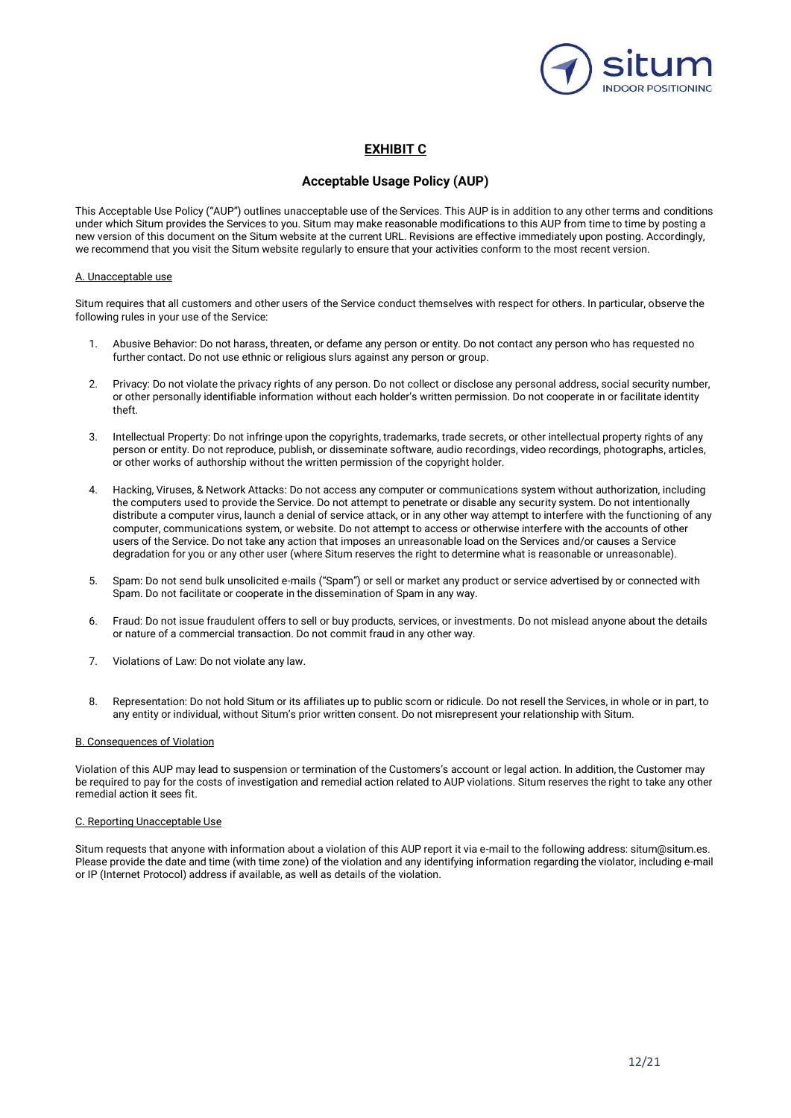

## **EXHIBIT C**

## **Acceptable Usage Policy (AUP)**

This Acceptable Use Policy ("AUP") outlines unacceptable use of the Services. This AUP is in addition to any other terms and conditions under which Situm provides the Services to you. Situm may make reasonable modifications to this AUP from time to time by posting a new version of this document on the Situm website at the current URL. Revisions are effective immediately upon posting. Accordingly, we recommend that you visit the Situm website regularly to ensure that your activities conform to the most recent version.

#### A. Unacceptable use

Situm requires that all customers and other users of the Service conduct themselves with respect for others. In particular, observe the following rules in your use of the Service:

- 1. Abusive Behavior: Do not harass, threaten, or defame any person or entity. Do not contact any person who has requested no further contact. Do not use ethnic or religious slurs against any person or group.
- 2. Privacy: Do not violate the privacy rights of any person. Do not collect or disclose any personal address, social security number, or other personally identifiable information without each holder's written permission. Do not cooperate in or facilitate identity theft.
- 3. Intellectual Property: Do not infringe upon the copyrights, trademarks, trade secrets, or other intellectual property rights of any person or entity. Do not reproduce, publish, or disseminate software, audio recordings, video recordings, photographs, articles, or other works of authorship without the written permission of the copyright holder.
- 4. Hacking, Viruses, & Network Attacks: Do not access any computer or communications system without authorization, including the computers used to provide the Service. Do not attempt to penetrate or disable any security system. Do not intentionally distribute a computer virus, launch a denial of service attack, or in any other way attempt to interfere with the functioning of any computer, communications system, or website. Do not attempt to access or otherwise interfere with the accounts of other users of the Service. Do not take any action that imposes an unreasonable load on the Services and/or causes a Service degradation for you or any other user (where Situm reserves the right to determine what is reasonable or unreasonable).
- 5. Spam: Do not send bulk unsolicited e-mails ("Spam") or sell or market any product or service advertised by or connected with Spam. Do not facilitate or cooperate in the dissemination of Spam in any way.
- 6. Fraud: Do not issue fraudulent offers to sell or buy products, services, or investments. Do not mislead anyone about the details or nature of a commercial transaction. Do not commit fraud in any other way.
- 7. Violations of Law: Do not violate any law.
- 8. Representation: Do not hold Situm or its affiliates up to public scorn or ridicule. Do not resell the Services, in whole or in part, to any entity or individual, without Situm's prior written consent. Do not misrepresent your relationship with Situm.

#### B. Consequences of Violation

Violation of this AUP may lead to suspension or termination of the Customers's account or legal action. In addition, the Customer may be required to pay for the costs of investigation and remedial action related to AUP violations. Situm reserves the right to take any other remedial action it sees fit.

#### C. Reporting Unacceptable Use

Situm requests that anyone with information about a violation of this AUP report it via e-mail to the following address: situm@situm.es. Please provide the date and time (with time zone) of the violation and any identifying information regarding the violator, including e-mail or IP (Internet Protocol) address if available, as well as details of the violation.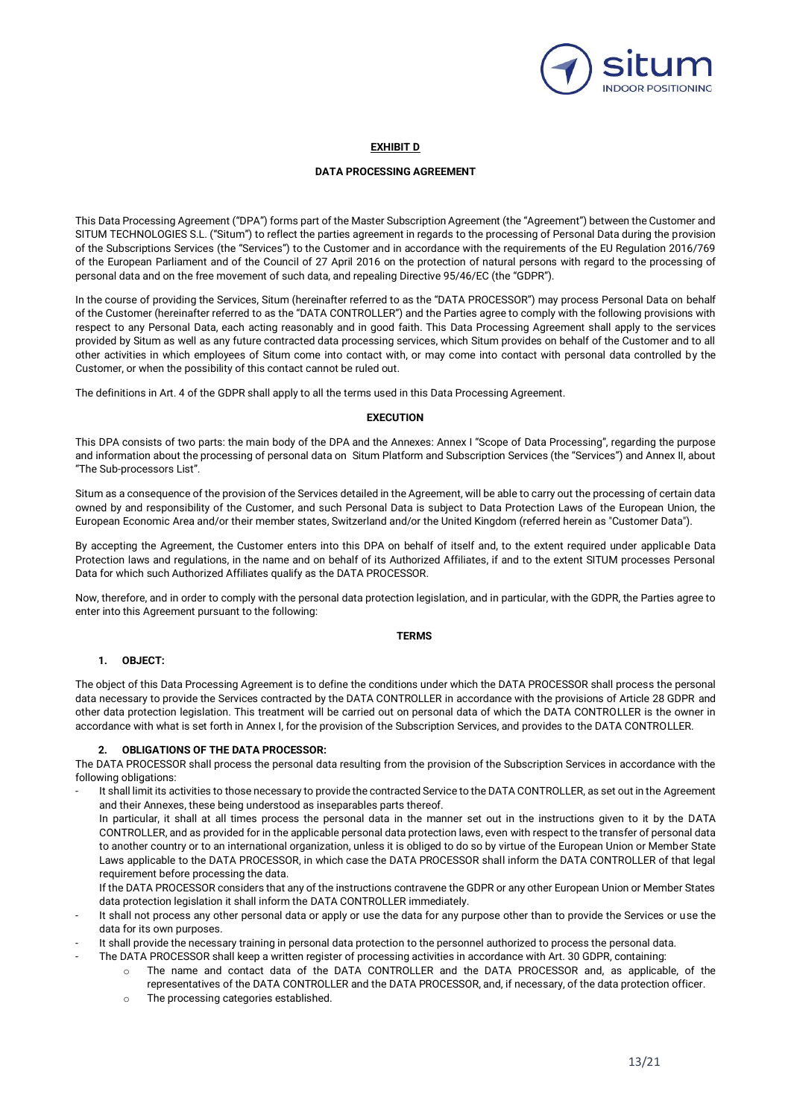

### **EXHIBIT D**

### **DATA PROCESSING AGREEMENT**

This Data Processing Agreement ("DPA") forms part of the Master Subscription Agreement (the "Agreement") between the Customer and SITUM TECHNOLOGIES S.L. ("Situm") to reflect the parties agreement in regards to the processing of Personal Data during the provision of the Subscriptions Services (the "Services") to the Customer and in accordance with the requirements of the EU Regulation 2016/769 of the European Parliament and of the Council of 27 April 2016 on the protection of natural persons with regard to the processing of personal data and on the free movement of such data, and repealing Directive 95/46/EC (the "GDPR").

In the course of providing the Services, Situm (hereinafter referred to as the "DATA PROCESSOR") may process Personal Data on behalf of the Customer (hereinafter referred to as the "DATA CONTROLLER") and the Parties agree to comply with the following provisions with respect to any Personal Data, each acting reasonably and in good faith. This Data Processing Agreement shall apply to the services provided by Situm as well as any future contracted data processing services, which Situm provides on behalf of the Customer and to all other activities in which employees of Situm come into contact with, or may come into contact with personal data controlled by the Customer, or when the possibility of this contact cannot be ruled out.

The definitions in Art. 4 of the GDPR shall apply to all the terms used in this Data Processing Agreement.

### **EXECUTION**

This DPA consists of two parts: the main body of the DPA and the Annexes: Annex I "Scope of Data Processing", regarding the purpose and information about the processing of personal data on Situm Platform and Subscription Services (the "Services") and Annex II, about "The Sub-processors List".

Situm as a consequence of the provision of the Services detailed in the Agreement, will be able to carry out the processing of certain data owned by and responsibility of the Customer, and such Personal Data is subject to Data Protection Laws of the European Union, the European Economic Area and/or their member states, Switzerland and/or the United Kingdom (referred herein as "Customer Data").

By accepting the Agreement, the Customer enters into this DPA on behalf of itself and, to the extent required under applicable Data Protection laws and regulations, in the name and on behalf of its Authorized Affiliates, if and to the extent SITUM processes Personal Data for which such Authorized Affiliates qualify as the DATA PROCESSOR.

Now, therefore, and in order to comply with the personal data protection legislation, and in particular, with the GDPR, the Parties agree to enter into this Agreement pursuant to the following:

### **TERMS**

### **1. OBJECT:**

The object of this Data Processing Agreement is to define the conditions under which the DATA PROCESSOR shall process the personal data necessary to provide the Services contracted by the DATA CONTROLLER in accordance with the provisions of Article 28 GDPR and other data protection legislation. This treatment will be carried out on personal data of which the DATA CONTROLLER is the owner in accordance with what is set forth in Annex I, for the provision of the Subscription Services, and provides to the DATA CONTROLLER.

### **2. OBLIGATIONS OF THE DATA PROCESSOR:**

The DATA PROCESSOR shall process the personal data resulting from the provision of the Subscription Services in accordance with the following obligations:

It shall limit its activities to those necessary to provide the contracted Service to the DATA CONTROLLER, as set out in the Agreement and their Annexes, these being understood as inseparables parts thereof.

In particular, it shall at all times process the personal data in the manner set out in the instructions given to it by the DATA CONTROLLER, and as provided for in the applicable personal data protection laws, even with respect to the transfer of personal data to another country or to an international organization, unless it is obliged to do so by virtue of the European Union or Member State Laws applicable to the DATA PROCESSOR, in which case the DATA PROCESSOR shall inform the DATA CONTROLLER of that legal requirement before processing the data.

If the DATA PROCESSOR considers that any of the instructions contravene the GDPR or any other European Union or Member States data protection legislation it shall inform the DATA CONTROLLER immediately.

- It shall not process any other personal data or apply or use the data for any purpose other than to provide the Services or use the data for its own purposes.
- It shall provide the necessary training in personal data protection to the personnel authorized to process the personal data.
	- The DATA PROCESSOR shall keep a written register of processing activities in accordance with Art. 30 GDPR, containing:
		- o The name and contact data of the DATA CONTROLLER and the DATA PROCESSOR and, as applicable, of the representatives of the DATA CONTROLLER and the DATA PROCESSOR, and, if necessary, of the data protection officer.
		- o The processing categories established.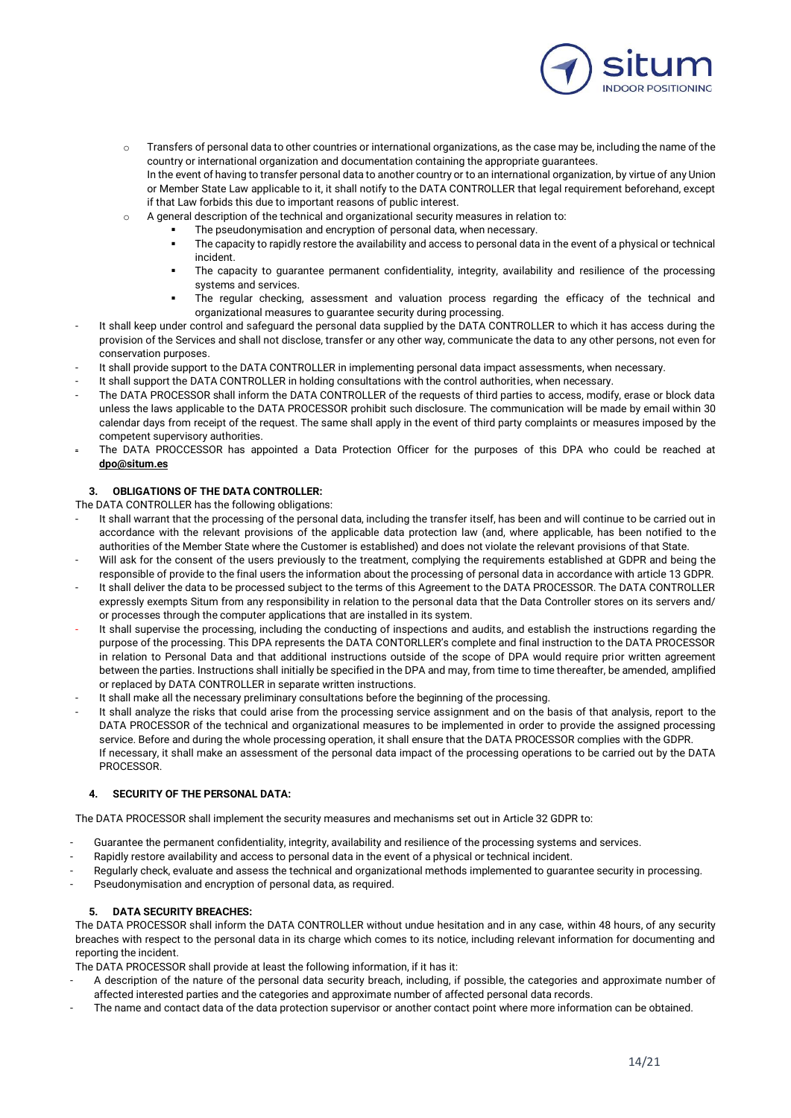

- o Transfers of personal data to other countries or international organizations, as the case may be, including the name of the country or international organization and documentation containing the appropriate guarantees. In the event of having to transfer personal data to another country or to an international organization, by virtue of any Union or Member State Law applicable to it, it shall notify to the DATA CONTROLLER that legal requirement beforehand, except if that Law forbids this due to important reasons of public interest.
- $\circ$  A general description of the technical and organizational security measures in relation to:
	- The pseudonymisation and encryption of personal data, when necessary.
	- The capacity to rapidly restore the availability and access to personal data in the event of a physical or technical incident.
	- The capacity to guarantee permanent confidentiality, integrity, availability and resilience of the processing systems and services.
	- The regular checking, assessment and valuation process regarding the efficacy of the technical and organizational measures to guarantee security during processing.
- It shall keep under control and safeguard the personal data supplied by the DATA CONTROLLER to which it has access during the provision of the Services and shall not disclose, transfer or any other way, communicate the data to any other persons, not even for conservation purposes.
- It shall provide support to the DATA CONTROLLER in implementing personal data impact assessments, when necessary.
- It shall support the DATA CONTROLLER in holding consultations with the control authorities, when necessary.
- The DATA PROCESSOR shall inform the DATA CONTROLLER of the requests of third parties to access, modify, erase or block data unless the laws applicable to the DATA PROCESSOR prohibit such disclosure. The communication will be made by email within 30 calendar days from receipt of the request. The same shall apply in the event of third party complaints or measures imposed by the competent supervisory authorities.
- The DATA PROCCESSOR has appointed a Data Protection Officer for the purposes of this DPA who could be reached at **[dpo@situm.es](mailto:dpo@situm.es)**

### **3. OBLIGATIONS OF THE DATA CONTROLLER:**

- The DATA CONTROLLER has the following obligations:
- It shall warrant that the processing of the personal data, including the transfer itself, has been and will continue to be carried out in accordance with the relevant provisions of the applicable data protection law (and, where applicable, has been notified to the authorities of the Member State where the Customer is established) and does not violate the relevant provisions of that State.
- Will ask for the consent of the users previously to the treatment, complying the requirements established at GDPR and being the responsible of provide to the final users the information about the processing of personal data in accordance with article 13 GDPR.
- It shall deliver the data to be processed subject to the terms of this Agreement to the DATA PROCESSOR. The DATA CONTROLLER expressly exempts Situm from any responsibility in relation to the personal data that the Data Controller stores on its servers and/ or processes through the computer applications that are installed in its system.
- It shall supervise the processing, including the conducting of inspections and audits, and establish the instructions regarding the purpose of the processing. This DPA represents the DATA CONTORLLER's complete and final instruction to the DATA PROCESSOR in relation to Personal Data and that additional instructions outside of the scope of DPA would require prior written agreement between the parties. Instructions shall initially be specified in the DPA and may, from time to time thereafter, be amended, amplified or replaced by DATA CONTROLLER in separate written instructions.
- It shall make all the necessary preliminary consultations before the beginning of the processing.
- It shall analyze the risks that could arise from the processing service assignment and on the basis of that analysis, report to the DATA PROCESSOR of the technical and organizational measures to be implemented in order to provide the assigned processing service. Before and during the whole processing operation, it shall ensure that the DATA PROCESSOR complies with the GDPR. If necessary, it shall make an assessment of the personal data impact of the processing operations to be carried out by the DATA **PROCESSOR**

### **4. SECURITY OF THE PERSONAL DATA:**

The DATA PROCESSOR shall implement the security measures and mechanisms set out in Article 32 GDPR to:

- Guarantee the permanent confidentiality, integrity, availability and resilience of the processing systems and services.
- Rapidly restore availability and access to personal data in the event of a physical or technical incident.
- Regularly check, evaluate and assess the technical and organizational methods implemented to guarantee security in processing.
- Pseudonymisation and encryption of personal data, as required.

### **5. DATA SECURITY BREACHES:**

The DATA PROCESSOR shall inform the DATA CONTROLLER without undue hesitation and in any case, within 48 hours, of any security breaches with respect to the personal data in its charge which comes to its notice, including relevant information for documenting and reporting the incident.

The DATA PROCESSOR shall provide at least the following information, if it has it:

- A description of the nature of the personal data security breach, including, if possible, the categories and approximate number of affected interested parties and the categories and approximate number of affected personal data records.
- The name and contact data of the data protection supervisor or another contact point where more information can be obtained.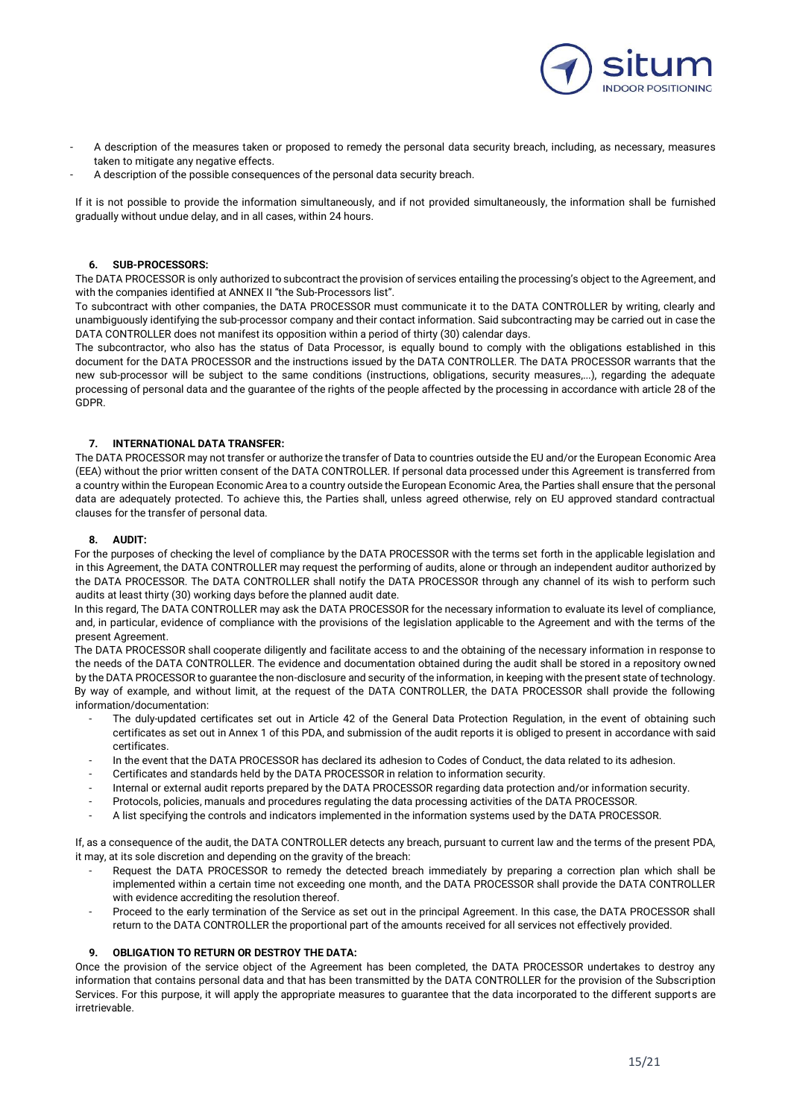

- A description of the measures taken or proposed to remedy the personal data security breach, including, as necessary, measures taken to mitigate any negative effects.
- A description of the possible consequences of the personal data security breach.

If it is not possible to provide the information simultaneously, and if not provided simultaneously, the information shall be furnished gradually without undue delay, and in all cases, within 24 hours.

### **6. SUB-PROCESSORS:**

The DATA PROCESSOR is only authorized to subcontract the provision of services entailing the processing's object to the Agreement, and with the companies identified at ANNEX II "the Sub-Processors list".

To subcontract with other companies, the DATA PROCESSOR must communicate it to the DATA CONTROLLER by writing, clearly and unambiguously identifying the sub-processor company and their contact information. Said subcontracting may be carried out in case the DATA CONTROLLER does not manifest its opposition within a period of thirty (30) calendar days.

The subcontractor, who also has the status of Data Processor, is equally bound to comply with the obligations established in this document for the DATA PROCESSOR and the instructions issued by the DATA CONTROLLER. The DATA PROCESSOR warrants that the new sub-processor will be subject to the same conditions (instructions, obligations, security measures,...), regarding the adequate processing of personal data and the guarantee of the rights of the people affected by the processing in accordance with article 28 of the GDPR.

### **7. INTERNATIONAL DATA TRANSFER:**

The DATA PROCESSOR may not transfer or authorize the transfer of Data to countries outside the EU and/or the European Economic Area (EEA) without the prior written consent of the DATA CONTROLLER. If personal data processed under this Agreement is transferred from a country within the European Economic Area to a country outside the European Economic Area, the Parties shall ensure that the personal data are adequately protected. To achieve this, the Parties shall, unless agreed otherwise, rely on EU approved standard contractual clauses for the transfer of personal data.

#### **8. AUDIT:**

For the purposes of checking the level of compliance by the DATA PROCESSOR with the terms set forth in the applicable legislation and in this Agreement, the DATA CONTROLLER may request the performing of audits, alone or through an independent auditor authorized by the DATA PROCESSOR. The DATA CONTROLLER shall notify the DATA PROCESSOR through any channel of its wish to perform such audits at least thirty (30) working days before the planned audit date.

In this regard, The DATA CONTROLLER may ask the DATA PROCESSOR for the necessary information to evaluate its level of compliance, and, in particular, evidence of compliance with the provisions of the legislation applicable to the Agreement and with the terms of the present Agreement.

The DATA PROCESSOR shall cooperate diligently and facilitate access to and the obtaining of the necessary information in response to the needs of the DATA CONTROLLER. The evidence and documentation obtained during the audit shall be stored in a repository owned by the DATA PROCESSOR to guarantee the non-disclosure and security of the information, in keeping with the present state of technology. By way of example, and without limit, at the request of the DATA CONTROLLER, the DATA PROCESSOR shall provide the following information/documentation:

- The duly-updated certificates set out in Article 42 of the General Data Protection Regulation, in the event of obtaining such certificates as set out in Annex 1 of this PDA, and submission of the audit reports it is obliged to present in accordance with said certificates.
- In the event that the DATA PROCESSOR has declared its adhesion to Codes of Conduct, the data related to its adhesion.
- Certificates and standards held by the DATA PROCESSOR in relation to information security.
- Internal or external audit reports prepared by the DATA PROCESSOR regarding data protection and/or information security.
- Protocols, policies, manuals and procedures regulating the data processing activities of the DATA PROCESSOR.
- A list specifying the controls and indicators implemented in the information systems used by the DATA PROCESSOR.

If, as a consequence of the audit, the DATA CONTROLLER detects any breach, pursuant to current law and the terms of the present PDA, it may, at its sole discretion and depending on the gravity of the breach:

- Request the DATA PROCESSOR to remedy the detected breach immediately by preparing a correction plan which shall be implemented within a certain time not exceeding one month, and the DATA PROCESSOR shall provide the DATA CONTROLLER with evidence accrediting the resolution thereof.
- Proceed to the early termination of the Service as set out in the principal Agreement. In this case, the DATA PROCESSOR shall return to the DATA CONTROLLER the proportional part of the amounts received for all services not effectively provided.

### **9. OBLIGATION TO RETURN OR DESTROY THE DATA:**

Once the provision of the service object of the Agreement has been completed, the DATA PROCESSOR undertakes to destroy any information that contains personal data and that has been transmitted by the DATA CONTROLLER for the provision of the Subscription Services. For this purpose, it will apply the appropriate measures to guarantee that the data incorporated to the different supports are irretrievable.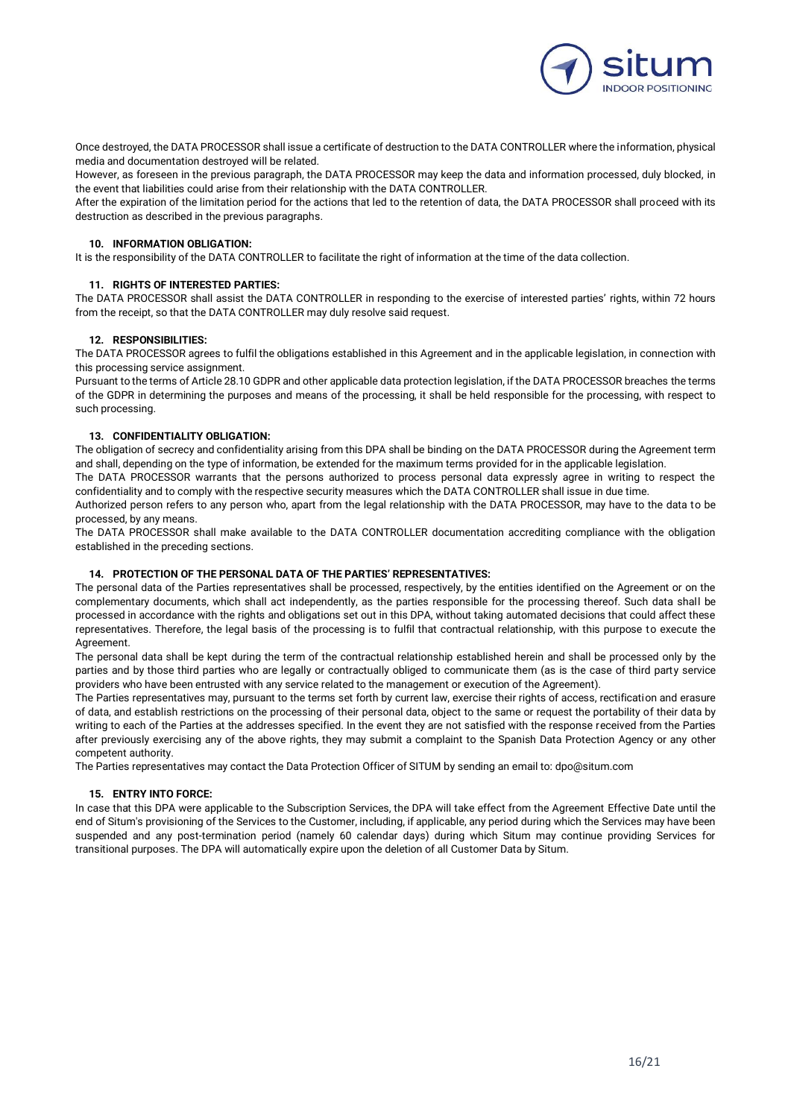

Once destroyed, the DATA PROCESSOR shall issue a certificate of destruction to the DATA CONTROLLER where the information, physical media and documentation destroyed will be related.

However, as foreseen in the previous paragraph, the DATA PROCESSOR may keep the data and information processed, duly blocked, in the event that liabilities could arise from their relationship with the DATA CONTROLLER.

After the expiration of the limitation period for the actions that led to the retention of data, the DATA PROCESSOR shall proceed with its destruction as described in the previous paragraphs.

### **10. INFORMATION OBLIGATION:**

It is the responsibility of the DATA CONTROLLER to facilitate the right of information at the time of the data collection.

### **11. RIGHTS OF INTERESTED PARTIES:**

The DATA PROCESSOR shall assist the DATA CONTROLLER in responding to the exercise of interested parties' rights, within 72 hours from the receipt, so that the DATA CONTROLLER may duly resolve said request.

### **12. RESPONSIBILITIES:**

The DATA PROCESSOR agrees to fulfil the obligations established in this Agreement and in the applicable legislation, in connection with this processing service assignment.

Pursuant to the terms of Article 28.10 GDPR and other applicable data protection legislation, if the DATA PROCESSOR breaches the terms of the GDPR in determining the purposes and means of the processing, it shall be held responsible for the processing, with respect to such processing.

### **13. CONFIDENTIALITY OBLIGATION:**

The obligation of secrecy and confidentiality arising from this DPA shall be binding on the DATA PROCESSOR during the Agreement term and shall, depending on the type of information, be extended for the maximum terms provided for in the applicable legislation.

The DATA PROCESSOR warrants that the persons authorized to process personal data expressly agree in writing to respect the confidentiality and to comply with the respective security measures which the DATA CONTROLLER shall issue in due time.

Authorized person refers to any person who, apart from the legal relationship with the DATA PROCESSOR, may have to the data to be processed, by any means.

The DATA PROCESSOR shall make available to the DATA CONTROLLER documentation accrediting compliance with the obligation established in the preceding sections.

#### **14. PROTECTION OF THE PERSONAL DATA OF THE PARTIES' REPRESENTATIVES:**

The personal data of the Parties representatives shall be processed, respectively, by the entities identified on the Agreement or on the complementary documents, which shall act independently, as the parties responsible for the processing thereof. Such data shall be processed in accordance with the rights and obligations set out in this DPA, without taking automated decisions that could affect these representatives. Therefore, the legal basis of the processing is to fulfil that contractual relationship, with this purpose to execute the Agreement.

The personal data shall be kept during the term of the contractual relationship established herein and shall be processed only by the parties and by those third parties who are legally or contractually obliged to communicate them (as is the case of third party service providers who have been entrusted with any service related to the management or execution of the Agreement).

The Parties representatives may, pursuant to the terms set forth by current law, exercise their rights of access, rectification and erasure of data, and establish restrictions on the processing of their personal data, object to the same or request the portability of their data by writing to each of the Parties at the addresses specified. In the event they are not satisfied with the response received from the Parties after previously exercising any of the above rights, they may submit a complaint to the Spanish Data Protection Agency or any other competent authority.

The Parties representatives may contact the Data Protection Officer of SITUM by sending an email to: dpo@situm.com

#### **15. ENTRY INTO FORCE:**

In case that this DPA were applicable to the Subscription Services, the DPA will take effect from the Agreement Effective Date until the end of Situm's provisioning of the Services to the Customer, including, if applicable, any period during which the Services may have been suspended and any post-termination period (namely 60 calendar days) during which Situm may continue providing Services for transitional purposes. The DPA will automatically expire upon the deletion of all Customer Data by Situm.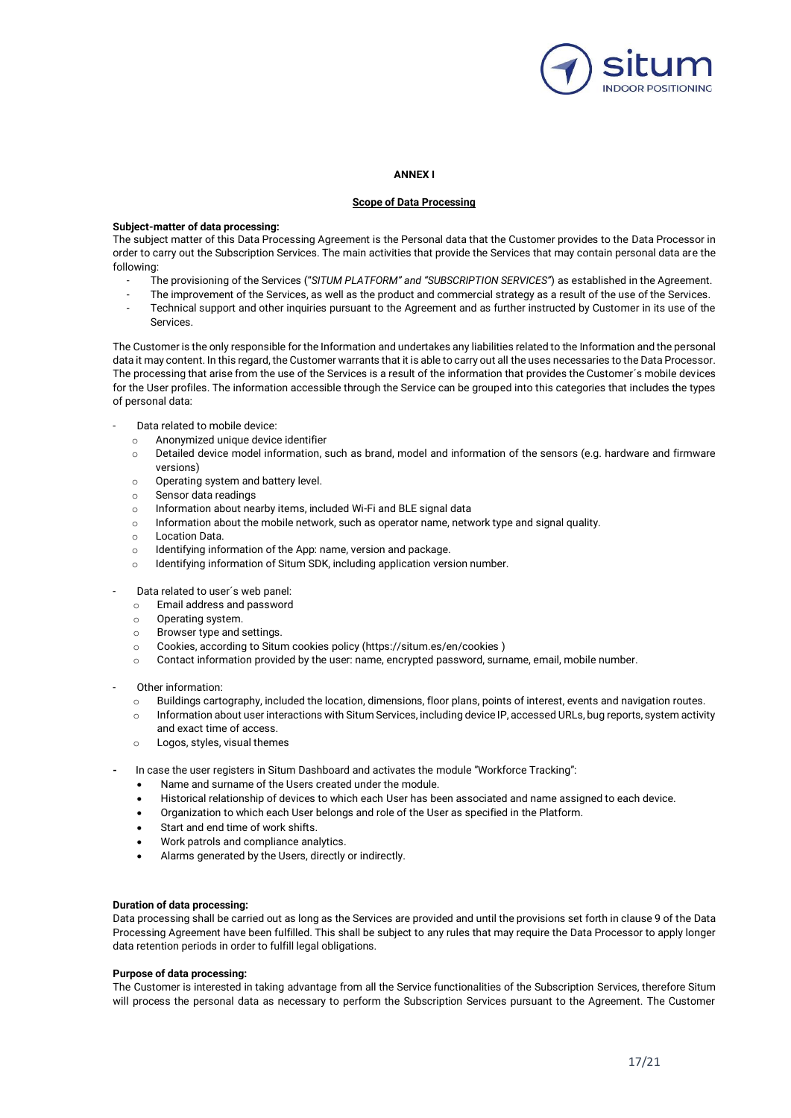

#### **ANNEX I**

### **Scope of Data Processing**

#### **Subject-matter of data processing:**

The subject matter of this Data Processing Agreement is the Personal data that the Customer provides to the Data Processor in order to carry out the Subscription Services. The main activities that provide the Services that may contain personal data are the following:

- The provisioning of the Services ("*SITUM PLATFORM" and "SUBSCRIPTION SERVICES"*) as established in the Agreement.
- The improvement of the Services, as well as the product and commercial strategy as a result of the use of the Services.
- Technical support and other inquiries pursuant to the Agreement and as further instructed by Customer in its use of the Services.

The Customer is the only responsible for the Information and undertakes any liabilities related to the Information and the personal data it may content. In this regard, the Customer warrants that it is able to carry out all the uses necessaries to the Data Processor. The processing that arise from the use of the Services is a result of the information that provides the Customer´s mobile devices for the User profiles. The information accessible through the Service can be grouped into this categories that includes the types of personal data:

- Data related to mobile device:
	- o Anonymized unique device identifier
	- o Detailed device model information, such as brand, model and information of the sensors (e.g. hardware and firmware versions)
	- o Operating system and battery level.
	- o Sensor data readings
	- o Information about nearby items, included Wi-Fi and BLE signal data
	- o Information about the mobile network, such as operator name, network type and signal quality.
	- o Location Data.
	- o Identifying information of the App: name, version and package.
	- o Identifying information of Situm SDK, including application version number.
- Data related to user's web panel:
	- o Email address and password
	- o Operating system.
	- o Browser type and settings.
	- o Cookies, according to Situm cookies policy (https://situm.es/en/cookies )
	- o Contact information provided by the user: name, encrypted password, surname, email, mobile number.
- Other information:
	- o Buildings cartography, included the location, dimensions, floor plans, points of interest, events and navigation routes.
	- o Information about user interactions with Situm Services, including device IP, accessed URLs, bug reports, system activity and exact time of access.
	- o Logos, styles, visual themes
- In case the user registers in Situm Dashboard and activates the module "Workforce Tracking":
	- Name and surname of the Users created under the module.
	- Historical relationship of devices to which each User has been associated and name assigned to each device.
	- Organization to which each User belongs and role of the User as specified in the Platform.
	- Start and end time of work shifts.
	- Work patrols and compliance analytics.
	- Alarms generated by the Users, directly or indirectly.

### **Duration of data processing:**

Data processing shall be carried out as long as the Services are provided and until the provisions set forth in clause 9 of the Data Processing Agreement have been fulfilled. This shall be subject to any rules that may require the Data Processor to apply longer data retention periods in order to fulfill legal obligations.

#### **Purpose of data processing:**

The Customer is interested in taking advantage from all the Service functionalities of the Subscription Services, therefore Situm will process the personal data as necessary to perform the Subscription Services pursuant to the Agreement. The Customer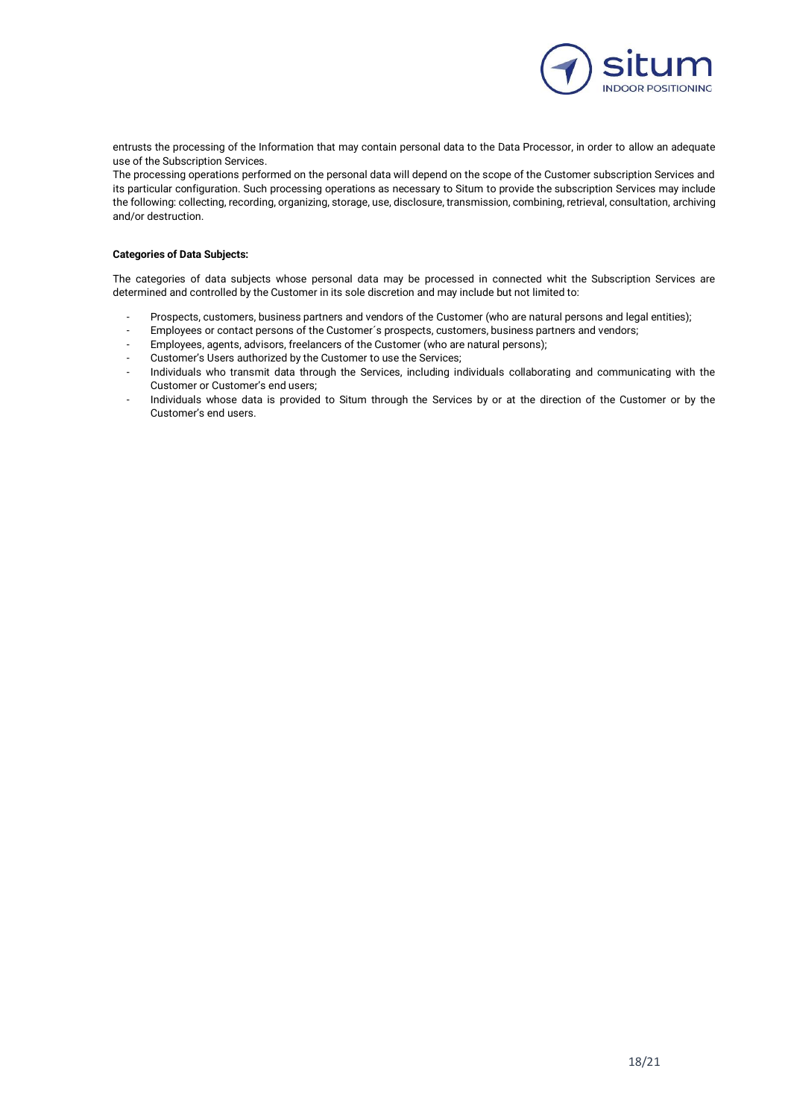

entrusts the processing of the Information that may contain personal data to the Data Processor, in order to allow an adequate use of the Subscription Services.

The processing operations performed on the personal data will depend on the scope of the Customer subscription Services and its particular configuration. Such processing operations as necessary to Situm to provide the subscription Services may include the following: collecting, recording, organizing, storage, use, disclosure, transmission, combining, retrieval, consultation, archiving and/or destruction.

### **Categories of Data Subjects:**

The categories of data subjects whose personal data may be processed in connected whit the Subscription Services are determined and controlled by the Customer in its sole discretion and may include but not limited to:

- Prospects, customers, business partners and vendors of the Customer (who are natural persons and legal entities);
- Employees or contact persons of the Customer's prospects, customers, business partners and vendors;
- Employees, agents, advisors, freelancers of the Customer (who are natural persons);
- Customer's Users authorized by the Customer to use the Services;
- Individuals who transmit data through the Services, including individuals collaborating and communicating with the Customer or Customer's end users;
- Individuals whose data is provided to Situm through the Services by or at the direction of the Customer or by the Customer's end users.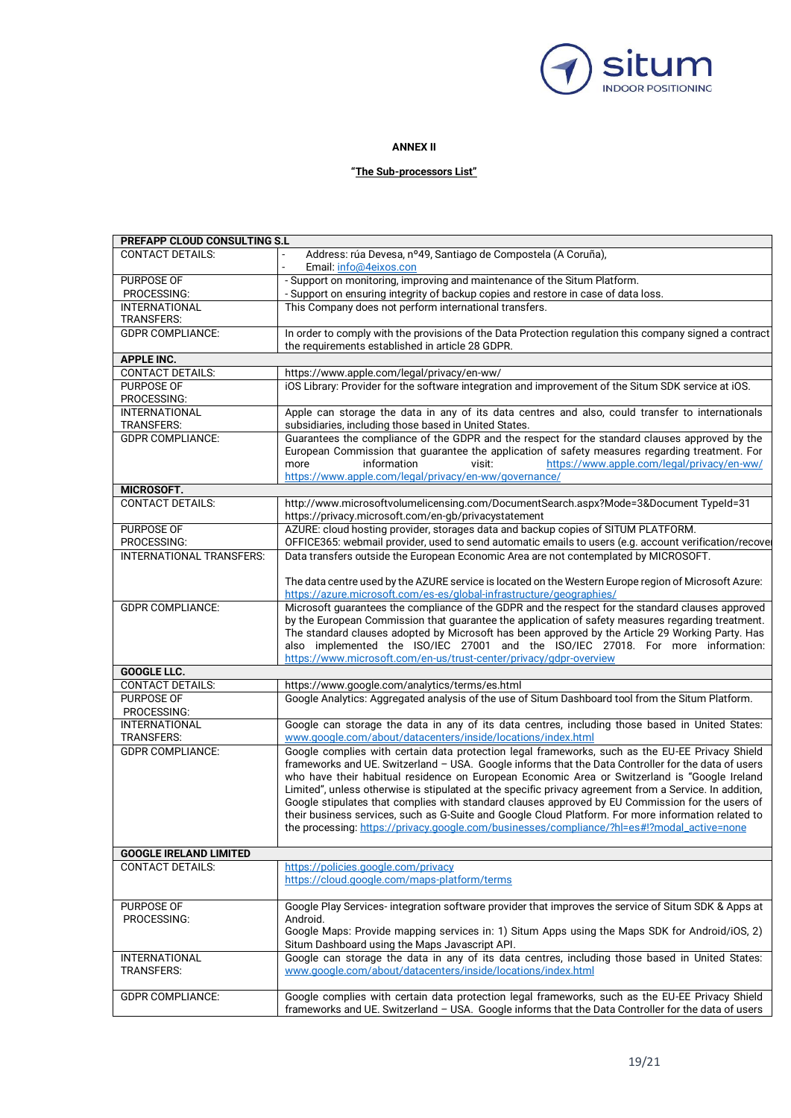

## **ANNEX II**

## **"The Sub-processors List"**

| PREFAPP CLOUD CONSULTING S.L  |                                                                                                         |
|-------------------------------|---------------------------------------------------------------------------------------------------------|
| <b>CONTACT DETAILS:</b>       | Address: rúa Devesa, nº49, Santiago de Compostela (A Coruña),                                           |
|                               | Email: info@4eixos.con                                                                                  |
| PURPOSE OF                    | - Support on monitoring, improving and maintenance of the Situm Platform.                               |
| PROCESSING:                   | - Support on ensuring integrity of backup copies and restore in case of data loss.                      |
| <b>INTERNATIONAL</b>          | This Company does not perform international transfers.                                                  |
|                               |                                                                                                         |
| <b>TRANSFERS:</b>             |                                                                                                         |
| <b>GDPR COMPLIANCE:</b>       | In order to comply with the provisions of the Data Protection regulation this company signed a contract |
|                               | the requirements established in article 28 GDPR.                                                        |
| <b>APPLE INC.</b>             |                                                                                                         |
| <b>CONTACT DETAILS:</b>       | https://www.apple.com/legal/privacy/en-ww/                                                              |
| PURPOSE OF                    | iOS Library: Provider for the software integration and improvement of the Situm SDK service at iOS.     |
| PROCESSING:                   |                                                                                                         |
| <b>INTERNATIONAL</b>          | Apple can storage the data in any of its data centres and also, could transfer to internationals        |
| <b>TRANSFERS:</b>             | subsidiaries, including those based in United States.                                                   |
| <b>GDPR COMPLIANCE:</b>       | Guarantees the compliance of the GDPR and the respect for the standard clauses approved by the          |
|                               | European Commission that guarantee the application of safety measures regarding treatment. For          |
|                               | information<br>https://www.apple.com/legal/privacy/en-ww/<br>more<br>visit:                             |
|                               | https://www.apple.com/legal/privacy/en-ww/governance/                                                   |
| MICROSOFT.                    |                                                                                                         |
| <b>CONTACT DETAILS:</b>       | http://www.microsoftvolumelicensing.com/DocumentSearch.aspx?Mode=3&Document TypeId=31                   |
|                               | https://privacy.microsoft.com/en-gb/privacystatement                                                    |
| PURPOSE OF                    | AZURE: cloud hosting provider, storages data and backup copies of SITUM PLATFORM.                       |
| PROCESSING:                   | OFFICE365: webmail provider, used to send automatic emails to users (e.g. account verification/recover  |
| INTERNATIONAL TRANSFERS:      | Data transfers outside the European Economic Area are not contemplated by MICROSOFT.                    |
|                               |                                                                                                         |
|                               | The data centre used by the AZURE service is located on the Western Europe region of Microsoft Azure:   |
|                               | https://azure.microsoft.com/es-es/global-infrastructure/geographies/                                    |
| <b>GDPR COMPLIANCE:</b>       | Microsoft guarantees the compliance of the GDPR and the respect for the standard clauses approved       |
|                               | by the European Commission that guarantee the application of safety measures regarding treatment.       |
|                               | The standard clauses adopted by Microsoft has been approved by the Article 29 Working Party. Has        |
|                               | also implemented the ISO/IEC 27001 and the ISO/IEC 27018. For more information:                         |
|                               | https://www.microsoft.com/en-us/trust-center/privacy/gdpr-overview                                      |
| GOOGLE LLC.                   |                                                                                                         |
| <b>CONTACT DETAILS:</b>       | https://www.google.com/analytics/terms/es.html                                                          |
| <b>PURPOSE OF</b>             | Google Analytics: Aggregated analysis of the use of Situm Dashboard tool from the Situm Platform.       |
| PROCESSING:                   |                                                                                                         |
| <b>INTERNATIONAL</b>          | Google can storage the data in any of its data centres, including those based in United States:         |
| <b>TRANSFERS:</b>             | www.google.com/about/datacenters/inside/locations/index.html                                            |
| <b>GDPR COMPLIANCE:</b>       | Google complies with certain data protection legal frameworks, such as the EU-EE Privacy Shield         |
|                               |                                                                                                         |
|                               | frameworks and UE. Switzerland - USA. Google informs that the Data Controller for the data of users     |
|                               | who have their habitual residence on European Economic Area or Switzerland is "Google Ireland           |
|                               | Limited", unless otherwise is stipulated at the specific privacy agreement from a Service. In addition, |
|                               | Google stipulates that complies with standard clauses approved by EU Commission for the users of        |
|                               | their business services, such as G-Suite and Google Cloud Platform. For more information related to     |
|                               | the processing: https://privacy.google.com/businesses/compliance/?hl=es#!?modal_active=none             |
|                               |                                                                                                         |
| <b>GOOGLE IRELAND LIMITED</b> |                                                                                                         |
| <b>CONTACT DETAILS:</b>       | https://policies.google.com/privacy                                                                     |
|                               | https://cloud.google.com/maps-platform/terms                                                            |
|                               |                                                                                                         |
| PURPOSE OF                    | Google Play Services- integration software provider that improves the service of Situm SDK & Apps at    |
| PROCESSING:                   | Android.                                                                                                |
|                               | Google Maps: Provide mapping services in: 1) Situm Apps using the Maps SDK for Android/iOS, 2)          |
|                               | Situm Dashboard using the Maps Javascript API.                                                          |
| <b>INTERNATIONAL</b>          | Google can storage the data in any of its data centres, including those based in United States:         |
| TRANSFERS:                    | www.google.com/about/datacenters/inside/locations/index.html                                            |
|                               |                                                                                                         |
| <b>GDPR COMPLIANCE:</b>       | Google complies with certain data protection legal frameworks, such as the EU-EE Privacy Shield         |
|                               | frameworks and UE. Switzerland - USA. Google informs that the Data Controller for the data of users     |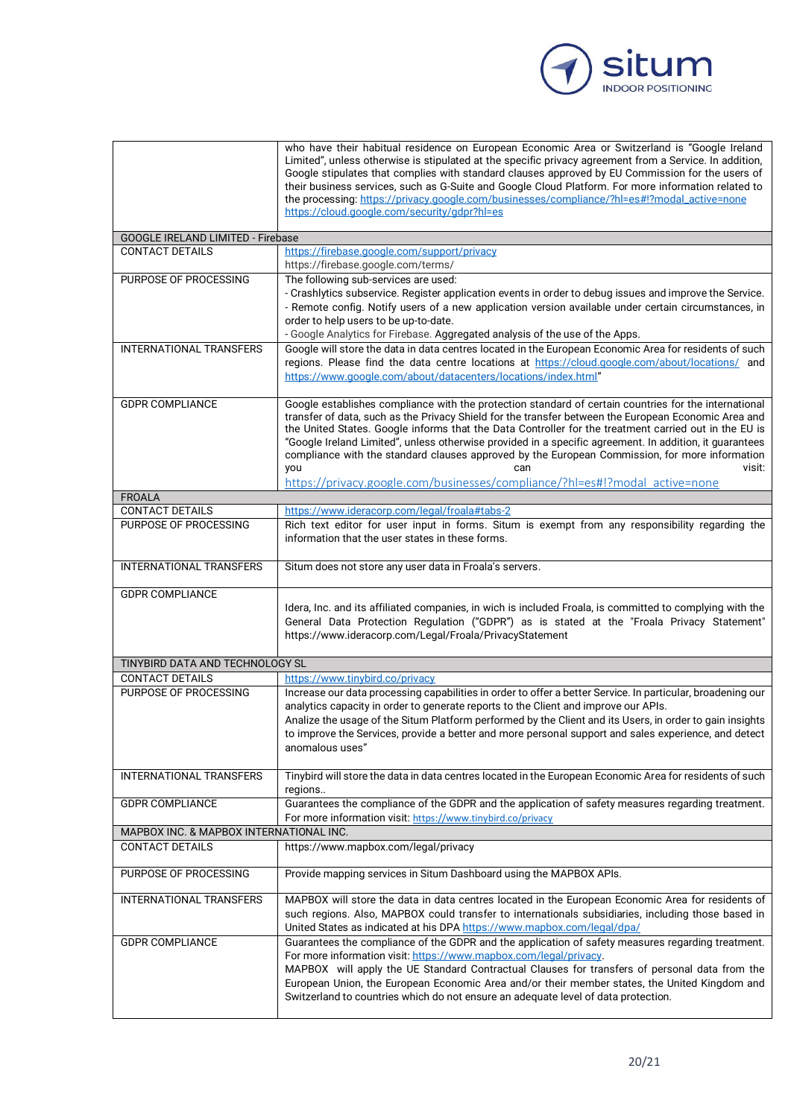

|                                          | who have their habitual residence on European Economic Area or Switzerland is "Google Ireland<br>Limited", unless otherwise is stipulated at the specific privacy agreement from a Service. In addition,<br>Google stipulates that complies with standard clauses approved by EU Commission for the users of<br>their business services, such as G-Suite and Google Cloud Platform. For more information related to<br>the processing: https://privacy.google.com/businesses/compliance/?hl=es#!?modal_active=none<br>https://cloud.google.com/security/gdpr?hl=es                                                                  |
|------------------------------------------|-------------------------------------------------------------------------------------------------------------------------------------------------------------------------------------------------------------------------------------------------------------------------------------------------------------------------------------------------------------------------------------------------------------------------------------------------------------------------------------------------------------------------------------------------------------------------------------------------------------------------------------|
| <b>GOOGLE IRELAND LIMITED - Firebase</b> |                                                                                                                                                                                                                                                                                                                                                                                                                                                                                                                                                                                                                                     |
| <b>CONTACT DETAILS</b>                   | https://firebase.google.com/support/privacy<br>https://firebase.google.com/terms/                                                                                                                                                                                                                                                                                                                                                                                                                                                                                                                                                   |
| PURPOSE OF PROCESSING                    | The following sub-services are used:<br>- Crashlytics subservice. Register application events in order to debug issues and improve the Service.                                                                                                                                                                                                                                                                                                                                                                                                                                                                                     |
|                                          | - Remote config. Notify users of a new application version available under certain circumstances, in<br>order to help users to be up-to-date.                                                                                                                                                                                                                                                                                                                                                                                                                                                                                       |
|                                          | - Google Analytics for Firebase. Aggregated analysis of the use of the Apps.                                                                                                                                                                                                                                                                                                                                                                                                                                                                                                                                                        |
| INTERNATIONAL TRANSFERS                  | Google will store the data in data centres located in the European Economic Area for residents of such<br>regions. Please find the data centre locations at https://cloud.google.com/about/locations/ and<br>https://www.google.com/about/datacenters/locations/index.html"                                                                                                                                                                                                                                                                                                                                                         |
| <b>GDPR COMPLIANCE</b>                   | Google establishes compliance with the protection standard of certain countries for the international<br>transfer of data, such as the Privacy Shield for the transfer between the European Economic Area and<br>the United States. Google informs that the Data Controller for the treatment carried out in the EU is<br>"Google Ireland Limited", unless otherwise provided in a specific agreement. In addition, it guarantees<br>compliance with the standard clauses approved by the European Commission, for more information<br>visit:<br>you<br>https://privacy.google.com/businesses/compliance/?hl=es#!?modal active=none |
| <b>FROALA</b>                            |                                                                                                                                                                                                                                                                                                                                                                                                                                                                                                                                                                                                                                     |
| <b>CONTACT DETAILS</b>                   | https://www.ideracorp.com/legal/froala#tabs-2                                                                                                                                                                                                                                                                                                                                                                                                                                                                                                                                                                                       |
| PURPOSE OF PROCESSING                    | Rich text editor for user input in forms. Situm is exempt from any responsibility regarding the<br>information that the user states in these forms.                                                                                                                                                                                                                                                                                                                                                                                                                                                                                 |
| INTERNATIONAL TRANSFERS                  | Situm does not store any user data in Froala's servers.                                                                                                                                                                                                                                                                                                                                                                                                                                                                                                                                                                             |
| <b>GDPR COMPLIANCE</b>                   | Idera, Inc. and its affiliated companies, in wich is included Froala, is committed to complying with the<br>General Data Protection Regulation ("GDPR") as is stated at the "Froala Privacy Statement"<br>https://www.ideracorp.com/Legal/Froala/PrivacyStatement                                                                                                                                                                                                                                                                                                                                                                   |
| TINYBIRD DATA AND TECHNOLOGY SL          |                                                                                                                                                                                                                                                                                                                                                                                                                                                                                                                                                                                                                                     |
| <b>CONTACT DETAILS</b>                   | https://www.tinybird.co/privacy                                                                                                                                                                                                                                                                                                                                                                                                                                                                                                                                                                                                     |
| PURPOSE OF PROCESSING                    | Increase our data processing capabilities in order to offer a better Service. In particular, broadening our<br>analytics capacity in order to generate reports to the Client and improve our APIs.<br>Analize the usage of the Situm Platform performed by the Client and its Users, in order to gain insights<br>to improve the Services, provide a better and more personal support and sales experience, and detect<br>anomalous uses"                                                                                                                                                                                           |
| <b>INTERNATIONAL TRANSFERS</b>           | Tinybird will store the data in data centres located in the European Economic Area for residents of such<br>regions                                                                                                                                                                                                                                                                                                                                                                                                                                                                                                                 |
| <b>GDPR COMPLIANCE</b>                   | Guarantees the compliance of the GDPR and the application of safety measures regarding treatment.<br>For more information visit: https://www.tinybird.co/privacy                                                                                                                                                                                                                                                                                                                                                                                                                                                                    |
| MAPBOX INC. & MAPBOX INTERNATIONAL INC.  |                                                                                                                                                                                                                                                                                                                                                                                                                                                                                                                                                                                                                                     |
| <b>CONTACT DETAILS</b>                   | https://www.mapbox.com/legal/privacy                                                                                                                                                                                                                                                                                                                                                                                                                                                                                                                                                                                                |
| PURPOSE OF PROCESSING                    | Provide mapping services in Situm Dashboard using the MAPBOX APIs.                                                                                                                                                                                                                                                                                                                                                                                                                                                                                                                                                                  |
| INTERNATIONAL TRANSFERS                  | MAPBOX will store the data in data centres located in the European Economic Area for residents of<br>such regions. Also, MAPBOX could transfer to internationals subsidiaries, including those based in<br>United States as indicated at his DPA https://www.mapbox.com/legal/dpa/                                                                                                                                                                                                                                                                                                                                                  |
| <b>GDPR COMPLIANCE</b>                   | Guarantees the compliance of the GDPR and the application of safety measures regarding treatment.<br>For more information visit: https://www.mapbox.com/legal/privacy.<br>MAPBOX will apply the UE Standard Contractual Clauses for transfers of personal data from the<br>European Union, the European Economic Area and/or their member states, the United Kingdom and<br>Switzerland to countries which do not ensure an adequate level of data protection.                                                                                                                                                                      |